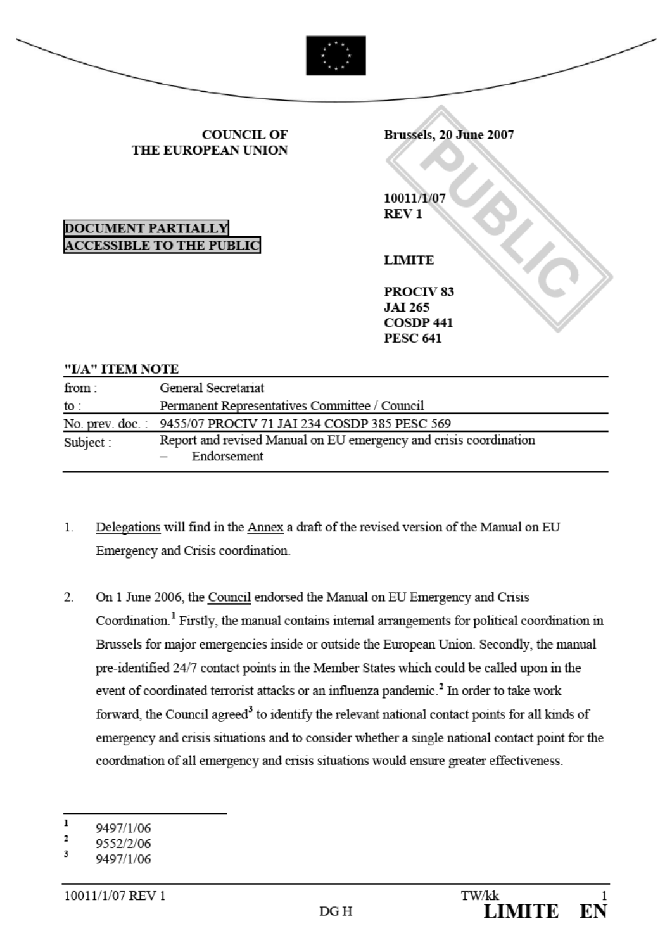|                           | <b>COUNCIL OF</b><br>THE EUROPEAN UNION                           | Brussels, 20 June 2007                                                        |
|---------------------------|-------------------------------------------------------------------|-------------------------------------------------------------------------------|
| <b>DOCUMENT PARTIALLY</b> | <b>ACCESSIBLE TO THE PUBLIC</b>                                   | 10011/1/07<br><b>REV1</b><br><b>LIMITE</b>                                    |
|                           |                                                                   | PROCIV <sub>83</sub><br><b>JAI 265</b><br><b>COSDP 441</b><br><b>PESC 641</b> |
| "I/A" ITEM NOTE           |                                                                   |                                                                               |
| from:                     | General Secretariat                                               |                                                                               |
| to :                      | Permanent Representatives Committee / Council                     |                                                                               |
| No. prev. doc. :          | 9455/07 PROCIV 71 JAI 234 COSDP 385 PESC 569                      |                                                                               |
| Subject:                  | Report and revised Manual on EU emergency and crisis coordination |                                                                               |

1. Delegations will find in the Annex a draft of the revised version of the Manual on EU Emergency and Crisis coordination

Endorsement

2. On 1 June 2006, the Council endorsed the Manual on EU Emergency and Crisis Coordi[n](#page-0-0)ation.<sup>1</sup> Firstly, the manual contains internal arrangements for political coordination in Brussels for major emergencies inside or outside the European Union. Secondly, the manual pre-identified 24/7 contact points in the Member States which could be called upon in the event of coordinated terrorist attacks or an influenza pandemi[c.](#page-0-1)<sup>2</sup> In order to take work forward, the Council agre[ed](#page-0-2)<sup>3</sup> to identify the relevant national contact points for all kinds of emergency and crisis situations and to consider whether a single national contact point for the coordination of all emergency and crisis situations would ensure greater effectiveness.

 $\overline{\phantom{0}}$ 

<span id="page-0-0"></span><sup>9497/1/06</sup>

<span id="page-0-1"></span> $\overline{2}$ 9552/2/06

<span id="page-0-2"></span> $\mathbf{R}$ 9497/1/06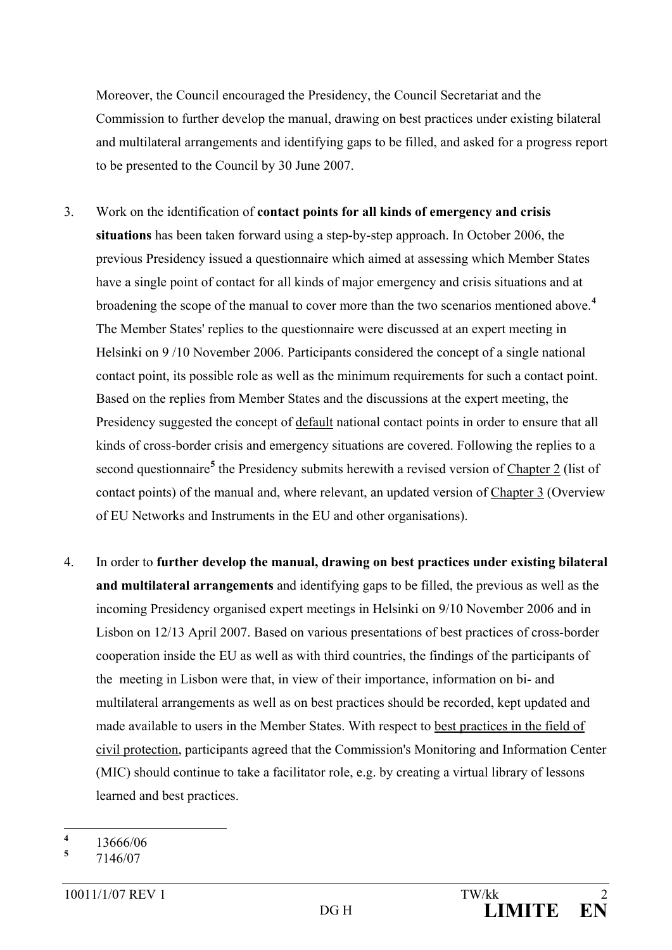Moreover, the Council encouraged the Presidency, the Council Secretariat and the Commission to further develop the manual, drawing on best practices under existing bilateral and multilateral arrangements and identifying gaps to be filled, and asked for a progress report to be presented to the Council by 30 June 2007.

- 3. Work on the identification of **contact points for all kinds of emergency and crisis situations** has been taken forward using a step-by-step approach. In October 2006, the previous Presidency issued a questionnaire which aimed at assessing which Member States have a single point of contact for all kinds of major emergency and crisis situations and at broadening the scope of the manual to cover more than the two scenarios mentioned above. **[4](#page-1-0)** The Member States' replies to the questionnaire were discussed at an expert meeting in Helsinki on 9 /10 November 2006. Participants considered the concept of a single national contact point, its possible role as well as the minimum requirements for such a contact point. Based on the replies from Member States and the discussions at the expert meeting, the Presidency suggested the concept of default national contact points in order to ensure that all kinds of cross-border crisis and emergency situations are covered. Following the replies to a second questionnaire<sup>[5](#page-1-1)</sup> the Presidency submits herewith a revised version of Chapter 2 (list of contact points) of the manual and, where relevant, an updated version of Chapter 3 (Overview of EU Networks and Instruments in the EU and other organisations).
- 4. In order to **further develop the manual, drawing on best practices under existing bilateral and multilateral arrangements** and identifying gaps to be filled, the previous as well as the incoming Presidency organised expert meetings in Helsinki on 9/10 November 2006 and in Lisbon on 12/13 April 2007. Based on various presentations of best practices of cross-border cooperation inside the EU as well as with third countries, the findings of the participants of the meeting in Lisbon were that, in view of their importance, information on bi- and multilateral arrangements as well as on best practices should be recorded, kept updated and made available to users in the Member States. With respect to best practices in the field of civil protection, participants agreed that the Commission's Monitoring and Information Center (MIC) should continue to take a facilitator role, e.g. by creating a virtual library of lessons learned and best practices.
- <span id="page-1-0"></span> $\frac{4}{5}$  13666/06

<span id="page-1-1"></span>**<sup>5</sup>** 7146/07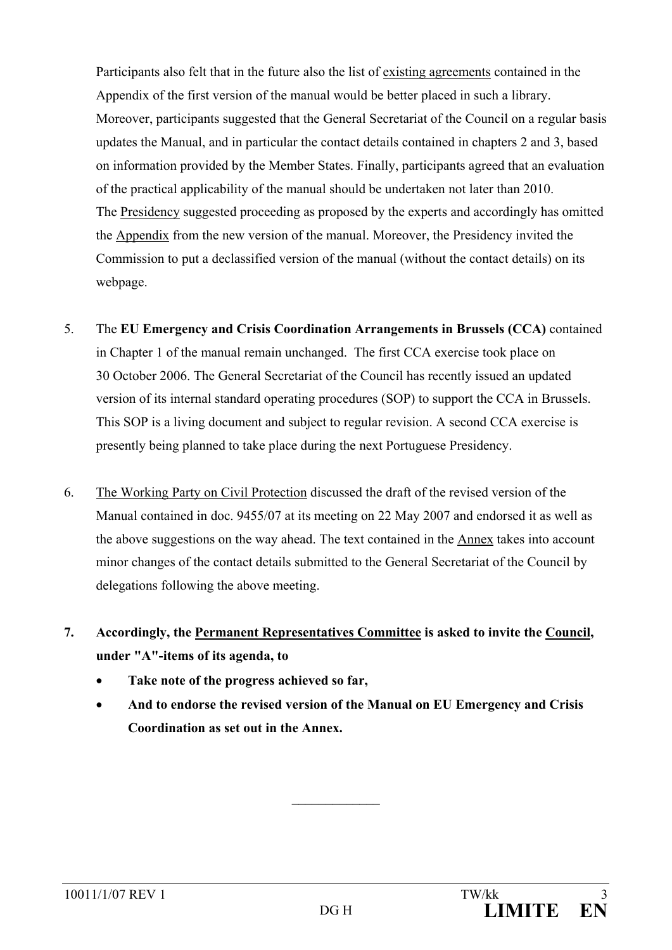Participants also felt that in the future also the list of existing agreements contained in the Appendix of the first version of the manual would be better placed in such a library. Moreover, participants suggested that the General Secretariat of the Council on a regular basis updates the Manual, and in particular the contact details contained in chapters 2 and 3, based on information provided by the Member States. Finally, participants agreed that an evaluation of the practical applicability of the manual should be undertaken not later than 2010. The Presidency suggested proceeding as proposed by the experts and accordingly has omitted the Appendix from the new version of the manual. Moreover, the Presidency invited the Commission to put a declassified version of the manual (without the contact details) on its webpage.

- 5. The **EU Emergency and Crisis Coordination Arrangements in Brussels (CCA)** contained in Chapter 1 of the manual remain unchanged. The first CCA exercise took place on 30 October 2006. The General Secretariat of the Council has recently issued an updated version of its internal standard operating procedures (SOP) to support the CCA in Brussels. This SOP is a living document and subject to regular revision. A second CCA exercise is presently being planned to take place during the next Portuguese Presidency.
- 6. The Working Party on Civil Protection discussed the draft of the revised version of the Manual contained in doc. 9455/07 at its meeting on 22 May 2007 and endorsed it as well as the above suggestions on the way ahead. The text contained in the Annex takes into account minor changes of the contact details submitted to the General Secretariat of the Council by delegations following the above meeting.
- **7. Accordingly, the Permanent Representatives Committee is asked to invite the Council, under "A"-items of its agenda, to**
	- **Take note of the progress achieved so far,**
	- **And to endorse the revised version of the Manual on EU Emergency and Crisis Coordination as set out in the Annex.**

 $\frac{1}{2}$  ,  $\frac{1}{2}$  ,  $\frac{1}{2}$  ,  $\frac{1}{2}$  ,  $\frac{1}{2}$  ,  $\frac{1}{2}$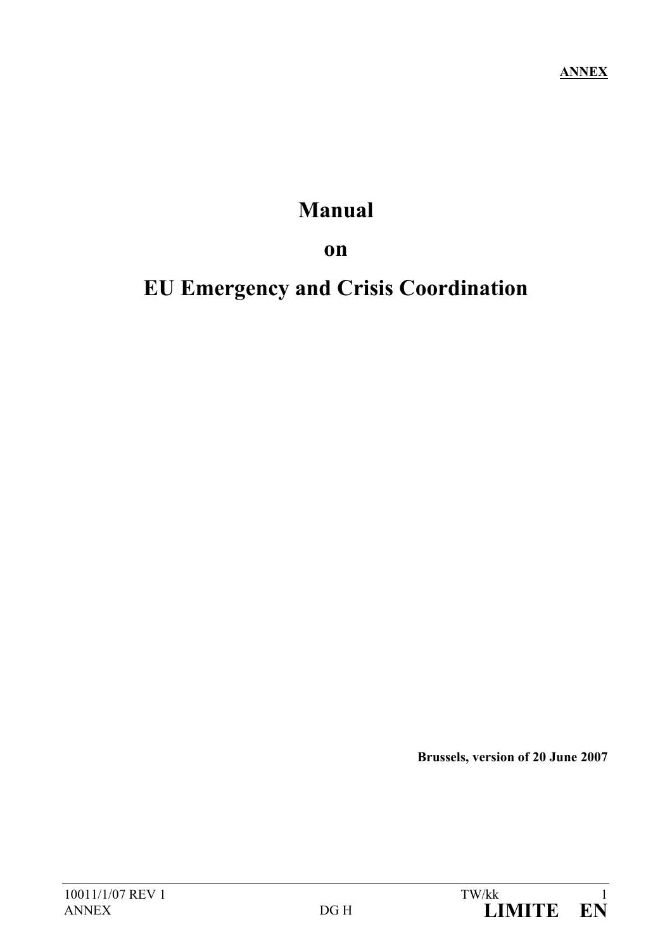# **Manual**

**on**

# **EU Emergency and Crisis Coordination**

**Brussels, version of 20 June 2007**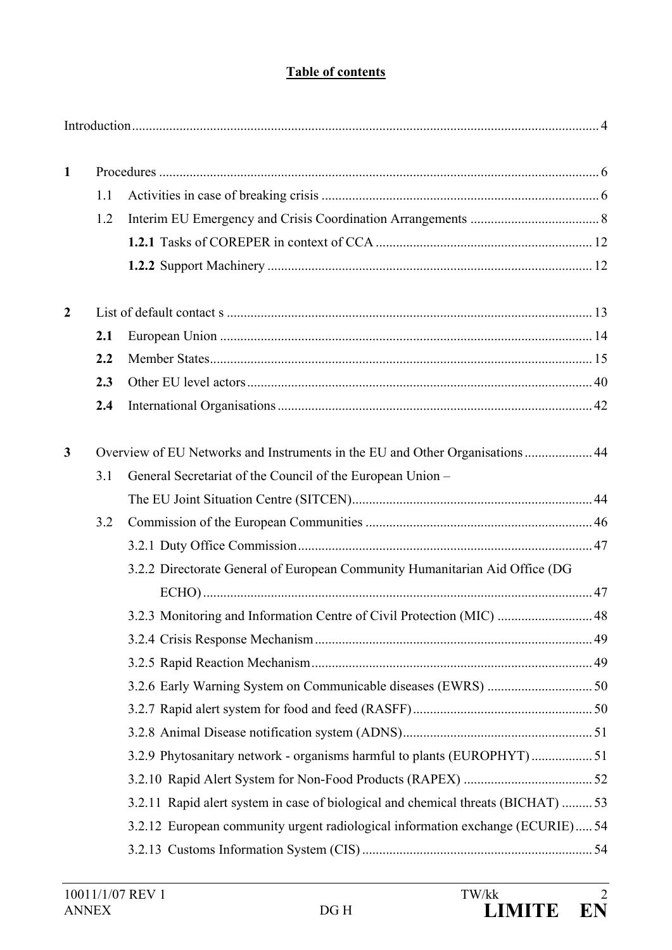# **Table of contents**

| $\mathbf{1}$ |     |                                                                                   |  |
|--------------|-----|-----------------------------------------------------------------------------------|--|
|              | 1.1 |                                                                                   |  |
|              | 1.2 |                                                                                   |  |
|              |     |                                                                                   |  |
|              |     |                                                                                   |  |
| $\mathbf{2}$ |     |                                                                                   |  |
|              | 2.1 |                                                                                   |  |
|              | 2.2 |                                                                                   |  |
|              | 2.3 |                                                                                   |  |
|              | 2.4 |                                                                                   |  |
| 3            |     | Overview of EU Networks and Instruments in the EU and Other Organisations 44      |  |
|              | 3.1 | General Secretariat of the Council of the European Union -                        |  |
|              |     |                                                                                   |  |
|              | 3.2 |                                                                                   |  |
|              |     |                                                                                   |  |
|              |     | 3.2.2 Directorate General of European Community Humanitarian Aid Office (DG       |  |
|              |     |                                                                                   |  |
|              |     | 3.2.3 Monitoring and Information Centre of Civil Protection (MIC)  48             |  |
|              |     |                                                                                   |  |
|              |     |                                                                                   |  |
|              |     |                                                                                   |  |
|              |     |                                                                                   |  |
|              |     |                                                                                   |  |
|              |     | 3.2.9 Phytosanitary network - organisms harmful to plants (EUROPHYT)51            |  |
|              |     |                                                                                   |  |
|              |     | 3.2.11 Rapid alert system in case of biological and chemical threats (BICHAT)  53 |  |
|              |     | 3.2.12 European community urgent radiological information exchange (ECURIE) 54    |  |
|              |     |                                                                                   |  |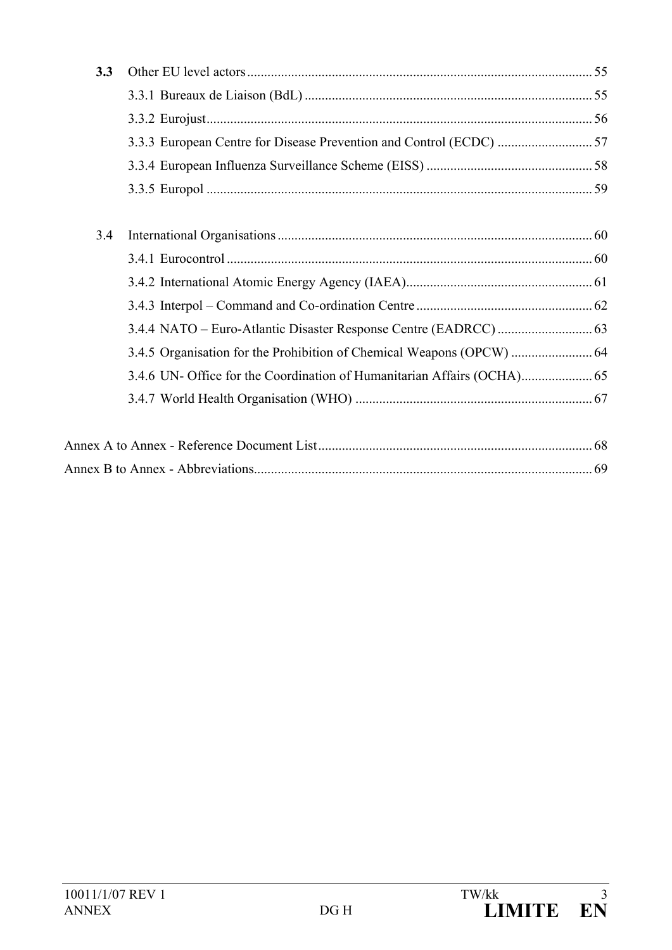Annex B to Annex - Abbreviation[s....................................................................................................](#page-71-0) 69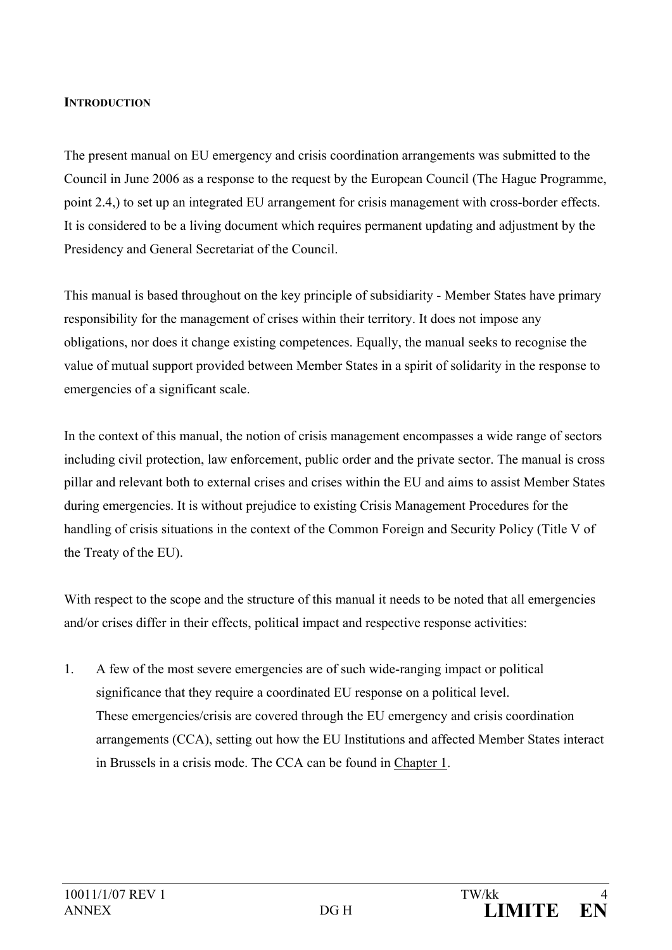#### <span id="page-6-0"></span>**INTRODUCTION**

The present manual on EU emergency and crisis coordination arrangements was submitted to the Council in June 2006 as a response to the request by the European Council (The Hague Programme, point 2.4,) to set up an integrated EU arrangement for crisis management with cross-border effects. It is considered to be a living document which requires permanent updating and adjustment by the Presidency and General Secretariat of the Council.

This manual is based throughout on the key principle of subsidiarity - Member States have primary responsibility for the management of crises within their territory. It does not impose any obligations, nor does it change existing competences. Equally, the manual seeks to recognise the value of mutual support provided between Member States in a spirit of solidarity in the response to emergencies of a significant scale.

In the context of this manual, the notion of crisis management encompasses a wide range of sectors including civil protection, law enforcement, public order and the private sector. The manual is cross pillar and relevant both to external crises and crises within the EU and aims to assist Member States during emergencies. It is without prejudice to existing Crisis Management Procedures for the handling of crisis situations in the context of the Common Foreign and Security Policy (Title V of the Treaty of the EU).

With respect to the scope and the structure of this manual it needs to be noted that all emergencies and/or crises differ in their effects, political impact and respective response activities:

1. A few of the most severe emergencies are of such wide-ranging impact or political significance that they require a coordinated EU response on a political level. These emergencies/crisis are covered through the EU emergency and crisis coordination arrangements (CCA), setting out how the EU Institutions and affected Member States interact in Brussels in a crisis mode. The CCA can be found in Chapter 1.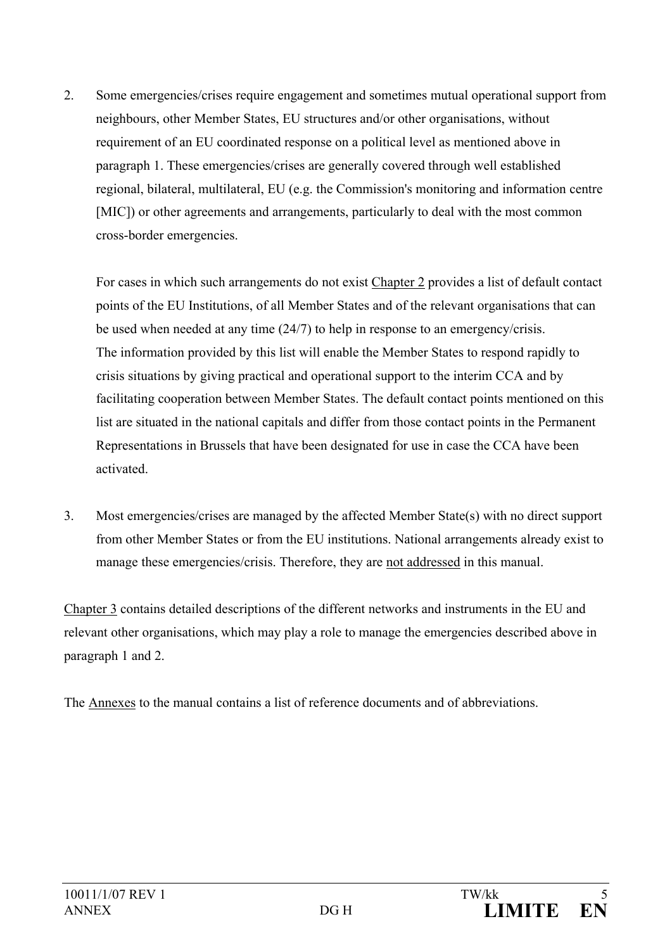2. Some emergencies/crises require engagement and sometimes mutual operational support from neighbours, other Member States, EU structures and/or other organisations, without requirement of an EU coordinated response on a political level as mentioned above in paragraph 1. These emergencies/crises are generally covered through well established regional, bilateral, multilateral, EU (e.g. the Commission's monitoring and information centre [MIC]) or other agreements and arrangements, particularly to deal with the most common cross-border emergencies.

For cases in which such arrangements do not exist Chapter 2 provides a list of default contact points of the EU Institutions, of all Member States and of the relevant organisations that can be used when needed at any time (24/7) to help in response to an emergency/crisis. The information provided by this list will enable the Member States to respond rapidly to crisis situations by giving practical and operational support to the interim CCA and by facilitating cooperation between Member States. The default contact points mentioned on this list are situated in the national capitals and differ from those contact points in the Permanent Representations in Brussels that have been designated for use in case the CCA have been activated.

3. Most emergencies/crises are managed by the affected Member State(s) with no direct support from other Member States or from the EU institutions. National arrangements already exist to manage these emergencies/crisis. Therefore, they are not addressed in this manual.

Chapter 3 contains detailed descriptions of the different networks and instruments in the EU and relevant other organisations, which may play a role to manage the emergencies described above in paragraph 1 and 2.

The Annexes to the manual contains a list of reference documents and of abbreviations.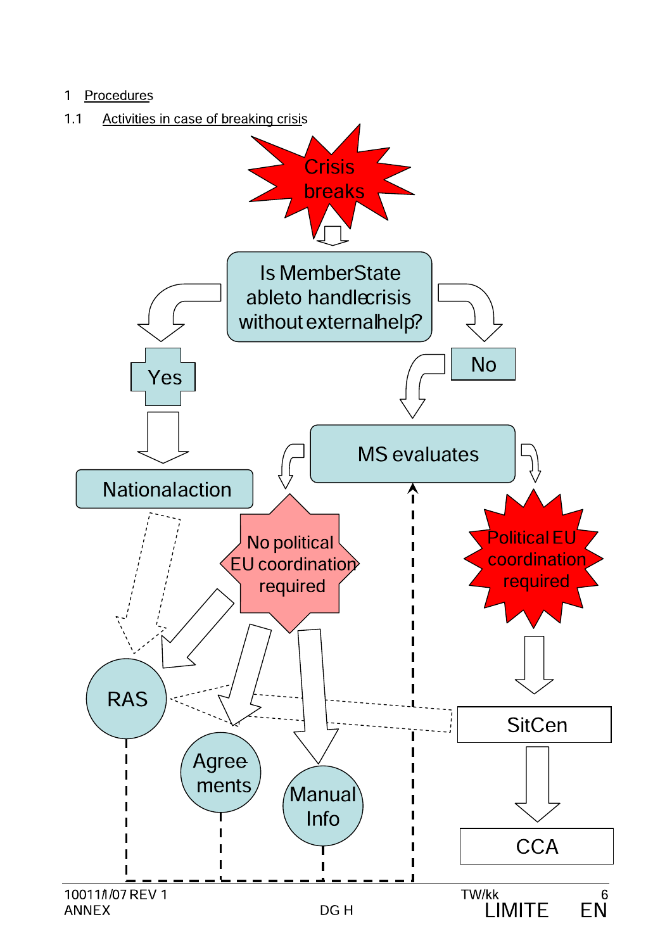#### Procedures  $\mathbf{1}$

#### Activities in case of breaking crisis  $1.1$

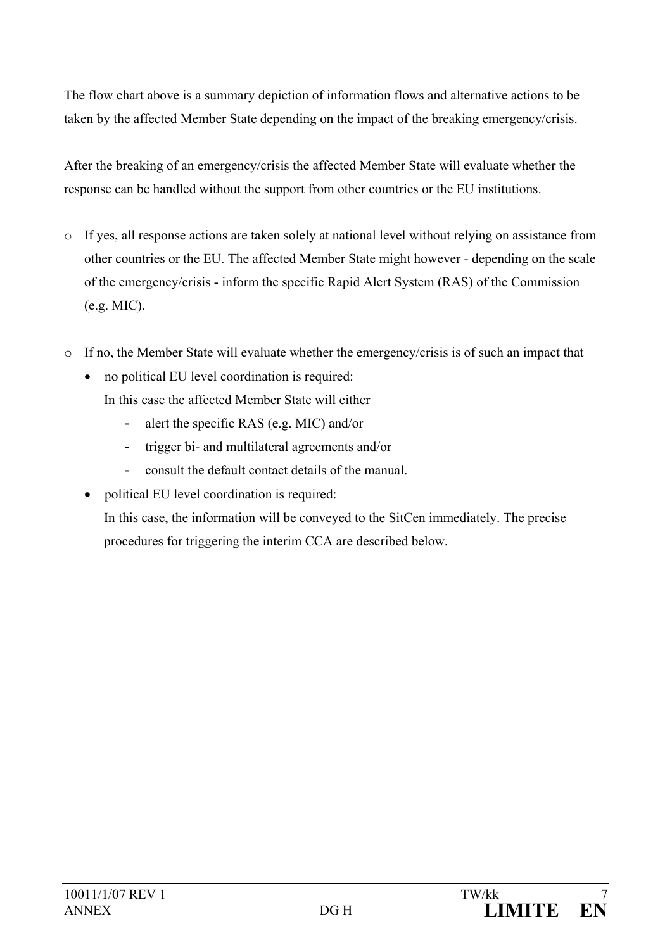The flow chart above is a summary depiction of information flows and alternative actions to be taken by the affected Member State depending on the impact of the breaking emergency/crisis.

After the breaking of an emergency/crisis the affected Member State will evaluate whether the response can be handled without the support from other countries or the EU institutions.

- o If yes, all response actions are taken solely at national level without relying on assistance from other countries or the EU. The affected Member State might however - depending on the scale of the emergency/crisis - inform the specific Rapid Alert System (RAS) of the Commission (e.g. MIC).
- o If no, the Member State will evaluate whether the emergency/crisis is of such an impact that
	- no political EU level coordination is required:
		- In this case the affected Member State will either
			- alert the specific RAS (e.g. MIC) and/or
			- trigger bi- and multilateral agreements and/or
			- consult the default contact details of the manual.
	- political EU level coordination is required: In this case, the information will be conveyed to the SitCen immediately. The precise procedures for triggering the interim CCA are described below.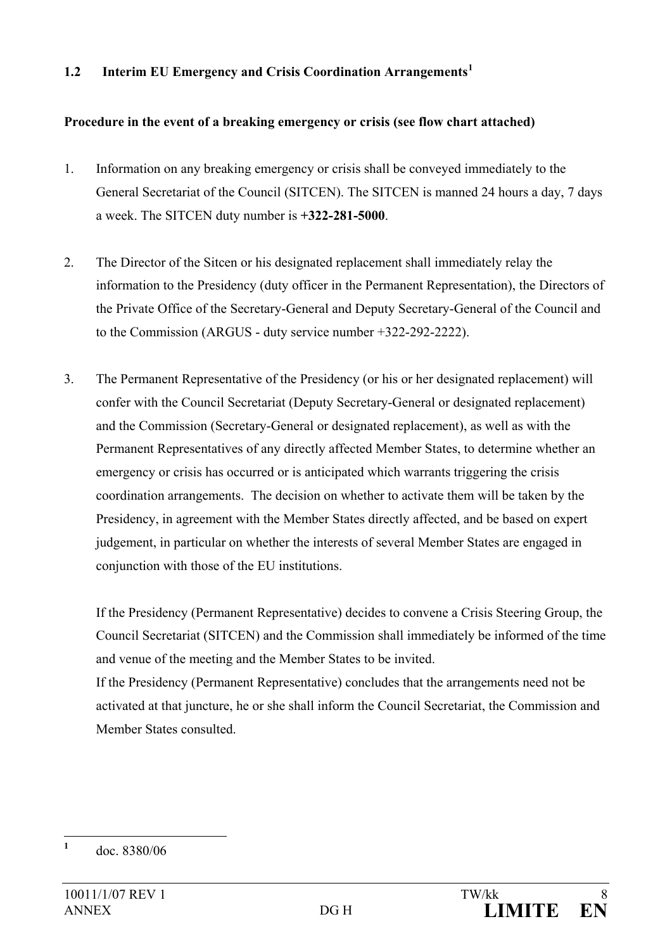#### <span id="page-10-0"></span>**1.2 Interim EU Emergency and Crisis Coordination Arrangements[1](#page-10-1)**

#### **Procedure in the event of a breaking emergency or crisis (see flow chart attached)**

- 1. Information on any breaking emergency or crisis shall be conveyed immediately to the General Secretariat of the Council (SITCEN). The SITCEN is manned 24 hours a day, 7 days a week. The SITCEN duty number is **+322-281-5000**.
- 2. The Director of the Sitcen or his designated replacement shall immediately relay the information to the Presidency (duty officer in the Permanent Representation), the Directors of the Private Office of the Secretary-General and Deputy Secretary-General of the Council and to the Commission (ARGUS - duty service number +322-292-2222).
- 3. The Permanent Representative of the Presidency (or his or her designated replacement) will confer with the Council Secretariat (Deputy Secretary-General or designated replacement) and the Commission (Secretary-General or designated replacement), as well as with the Permanent Representatives of any directly affected Member States, to determine whether an emergency or crisis has occurred or is anticipated which warrants triggering the crisis coordination arrangements. The decision on whether to activate them will be taken by the Presidency, in agreement with the Member States directly affected, and be based on expert judgement, in particular on whether the interests of several Member States are engaged in conjunction with those of the EU institutions.

If the Presidency (Permanent Representative) decides to convene a Crisis Steering Group, the Council Secretariat (SITCEN) and the Commission shall immediately be informed of the time and venue of the meeting and the Member States to be invited.

If the Presidency (Permanent Representative) concludes that the arrangements need not be activated at that juncture, he or she shall inform the Council Secretariat, the Commission and Member States consulted.

<span id="page-10-1"></span>**<sup>1</sup>** doc. 8380/06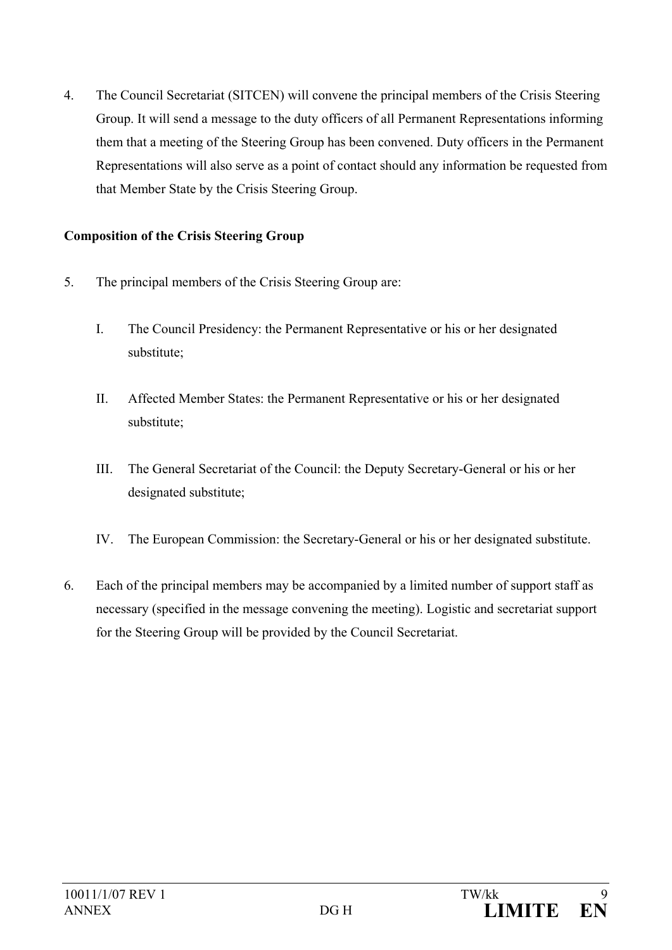4. The Council Secretariat (SITCEN) will convene the principal members of the Crisis Steering Group. It will send a message to the duty officers of all Permanent Representations informing them that a meeting of the Steering Group has been convened. Duty officers in the Permanent Representations will also serve as a point of contact should any information be requested from that Member State by the Crisis Steering Group.

#### **Composition of the Crisis Steering Group**

- 5. The principal members of the Crisis Steering Group are:
	- I. The Council Presidency: the Permanent Representative or his or her designated substitute;
	- II. Affected Member States: the Permanent Representative or his or her designated substitute;
	- III. The General Secretariat of the Council: the Deputy Secretary-General or his or her designated substitute;
	- IV. The European Commission: the Secretary-General or his or her designated substitute.
- 6. Each of the principal members may be accompanied by a limited number of support staff as necessary (specified in the message convening the meeting). Logistic and secretariat support for the Steering Group will be provided by the Council Secretariat.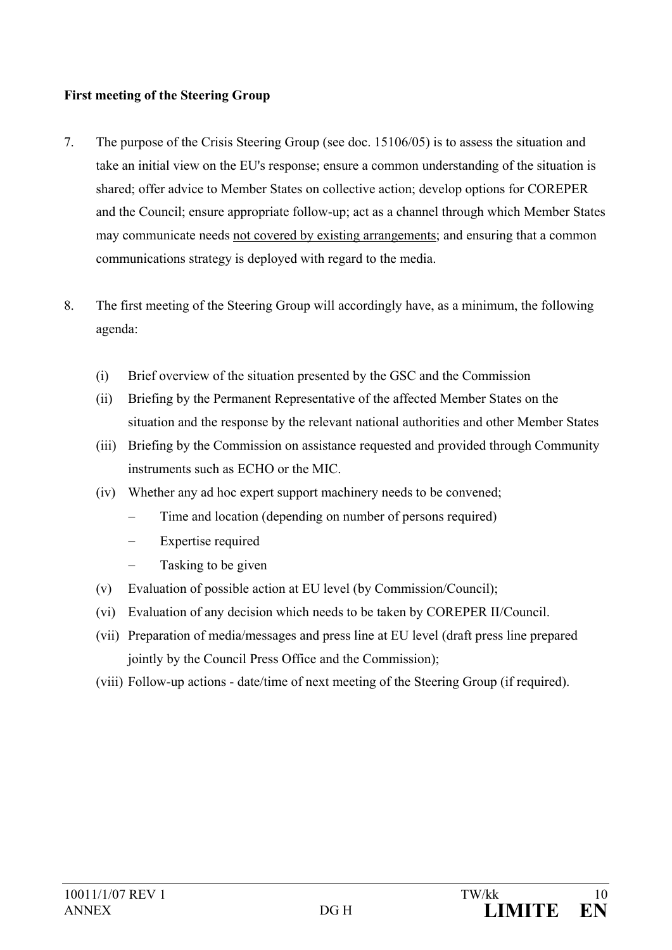### **First meeting of the Steering Group**

- 7. The purpose of the Crisis Steering Group (see doc. 15106/05) is to assess the situation and take an initial view on the EU's response; ensure a common understanding of the situation is shared; offer advice to Member States on collective action; develop options for COREPER and the Council; ensure appropriate follow-up; act as a channel through which Member States may communicate needs not covered by existing arrangements; and ensuring that a common communications strategy is deployed with regard to the media.
- 8. The first meeting of the Steering Group will accordingly have, as a minimum, the following agenda:
	- (i) Brief overview of the situation presented by the GSC and the Commission
	- (ii) Briefing by the Permanent Representative of the affected Member States on the situation and the response by the relevant national authorities and other Member States
	- (iii) Briefing by the Commission on assistance requested and provided through Community instruments such as ECHO or the MIC.
	- (iv) Whether any ad hoc expert support machinery needs to be convened;
		- Time and location (depending on number of persons required)
		- Expertise required
		- − Tasking to be given
	- (v) Evaluation of possible action at EU level (by Commission/Council);
	- (vi) Evaluation of any decision which needs to be taken by COREPER II/Council.
	- (vii) Preparation of media/messages and press line at EU level (draft press line prepared jointly by the Council Press Office and the Commission);
	- (viii) Follow-up actions date/time of next meeting of the Steering Group (if required).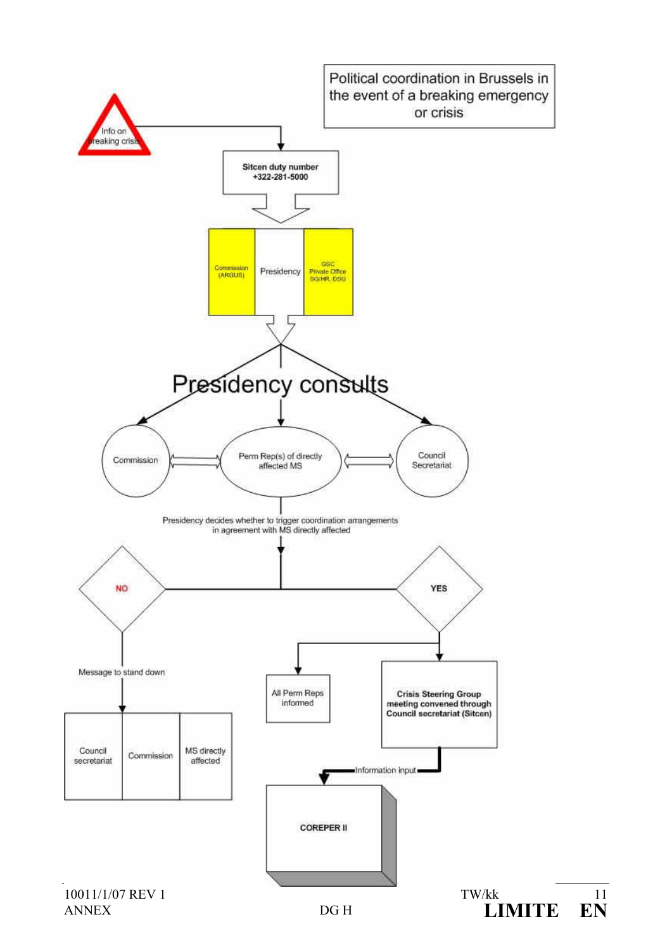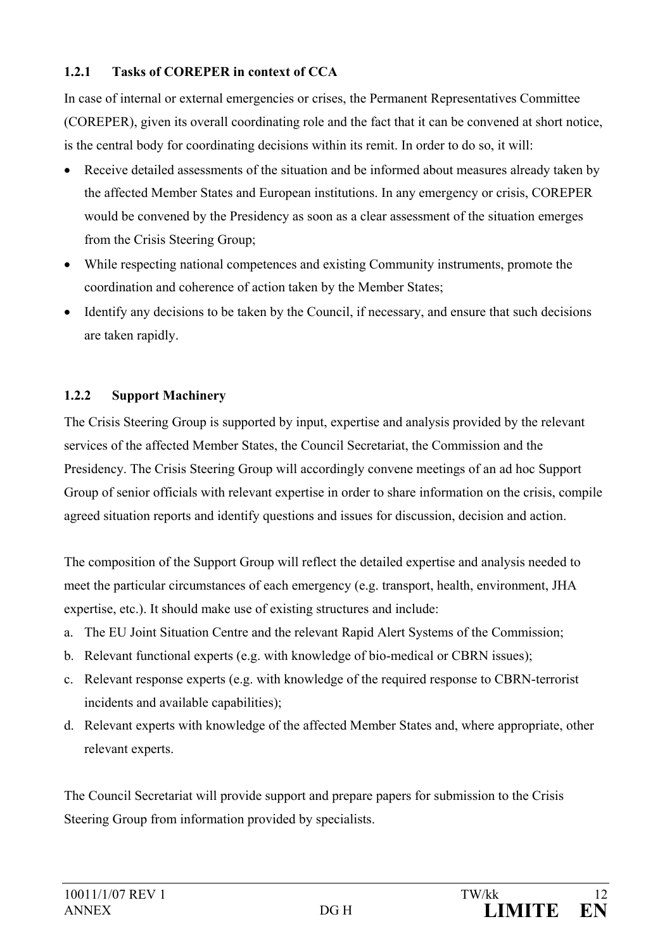### <span id="page-14-0"></span>**1.2.1 Tasks of COREPER in context of CCA**

In case of internal or external emergencies or crises, the Permanent Representatives Committee (COREPER), given its overall coordinating role and the fact that it can be convened at short notice, is the central body for coordinating decisions within its remit. In order to do so, it will:

- Receive detailed assessments of the situation and be informed about measures already taken by the affected Member States and European institutions. In any emergency or crisis, COREPER would be convened by the Presidency as soon as a clear assessment of the situation emerges from the Crisis Steering Group;
- While respecting national competences and existing Community instruments, promote the coordination and coherence of action taken by the Member States;
- Identify any decisions to be taken by the Council, if necessary, and ensure that such decisions are taken rapidly.

### <span id="page-14-1"></span>**1.2.2 Support Machinery**

The Crisis Steering Group is supported by input, expertise and analysis provided by the relevant services of the affected Member States, the Council Secretariat, the Commission and the Presidency. The Crisis Steering Group will accordingly convene meetings of an ad hoc Support Group of senior officials with relevant expertise in order to share information on the crisis, compile agreed situation reports and identify questions and issues for discussion, decision and action.

The composition of the Support Group will reflect the detailed expertise and analysis needed to meet the particular circumstances of each emergency (e.g. transport, health, environment, JHA expertise, etc.). It should make use of existing structures and include:

- a. The EU Joint Situation Centre and the relevant Rapid Alert Systems of the Commission;
- b. Relevant functional experts (e.g. with knowledge of bio-medical or CBRN issues);
- c. Relevant response experts (e.g. with knowledge of the required response to CBRN-terrorist incidents and available capabilities);
- d. Relevant experts with knowledge of the affected Member States and, where appropriate, other relevant experts.

The Council Secretariat will provide support and prepare papers for submission to the Crisis Steering Group from information provided by specialists.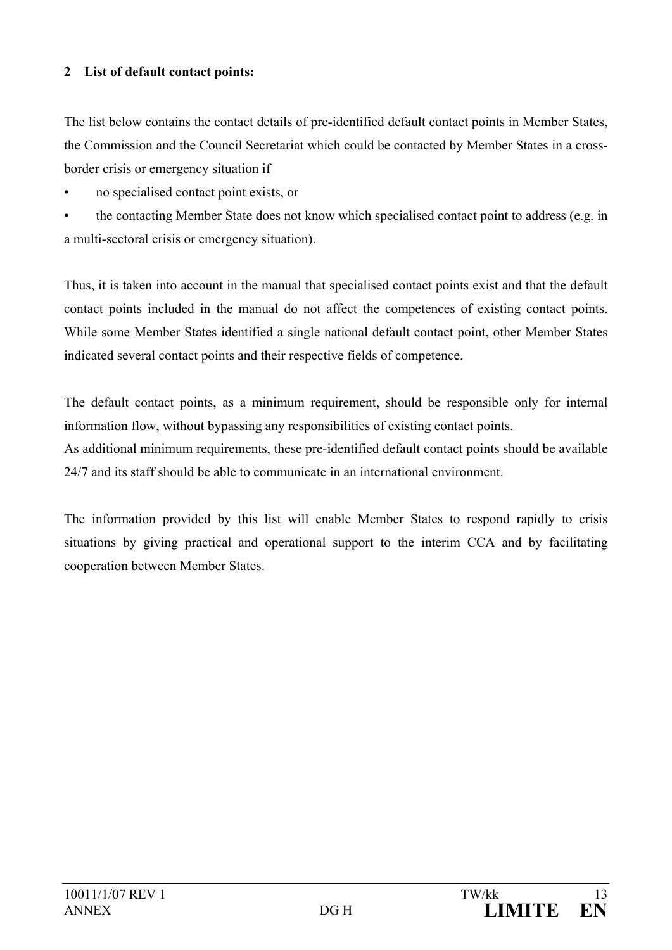#### <span id="page-15-0"></span>**2 List of default contact points:**

The list below contains the contact details of pre-identified default contact points in Member States, the Commission and the Council Secretariat which could be contacted by Member States in a crossborder crisis or emergency situation if

• no specialised contact point exists, or

• the contacting Member State does not know which specialised contact point to address (e.g. in a multi-sectoral crisis or emergency situation).

Thus, it is taken into account in the manual that specialised contact points exist and that the default contact points included in the manual do not affect the competences of existing contact points. While some Member States identified a single national default contact point, other Member States indicated several contact points and their respective fields of competence.

The default contact points, as a minimum requirement, should be responsible only for internal information flow, without bypassing any responsibilities of existing contact points.

As additional minimum requirements, these pre-identified default contact points should be available 24/7 and its staff should be able to communicate in an international environment.

The information provided by this list will enable Member States to respond rapidly to crisis situations by giving practical and operational support to the interim CCA and by facilitating cooperation between Member States.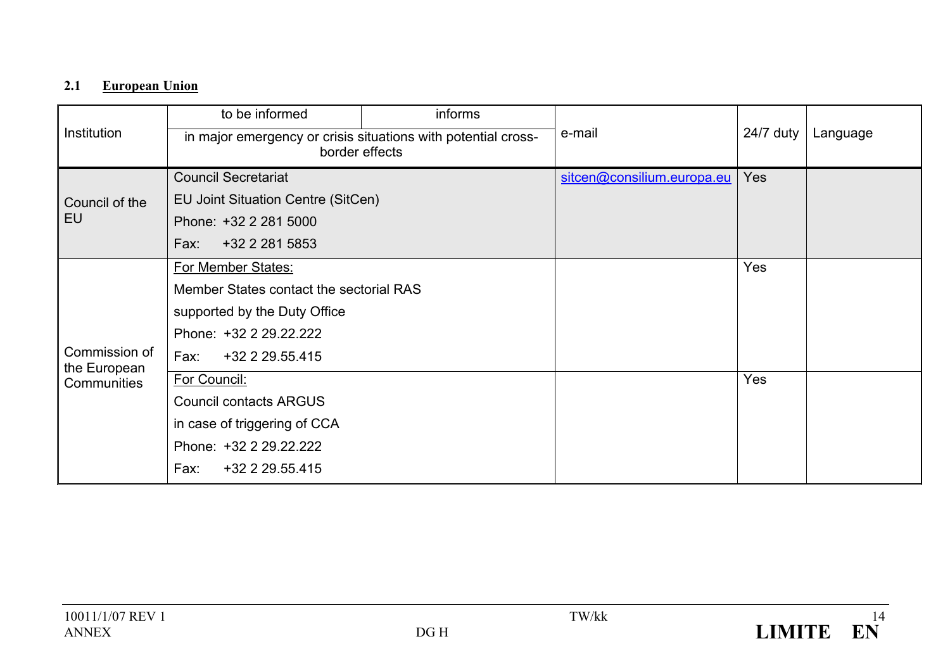# **2.1 European Union**

<span id="page-16-0"></span>

|                               | to be informed                                                                  | informs |                            |            |          |
|-------------------------------|---------------------------------------------------------------------------------|---------|----------------------------|------------|----------|
| Institution                   | in major emergency or crisis situations with potential cross-<br>border effects |         | e-mail                     | 24/7 duty  | Language |
|                               | <b>Council Secretariat</b>                                                      |         | sitcen@consilium.europa.eu | <b>Yes</b> |          |
| Council of the                | EU Joint Situation Centre (SitCen)                                              |         |                            |            |          |
| EU                            | Phone: +32 2 281 5000                                                           |         |                            |            |          |
|                               | +32 2 281 5853<br>Fax:                                                          |         |                            |            |          |
|                               | For Member States:                                                              |         |                            | <b>Yes</b> |          |
|                               | Member States contact the sectorial RAS                                         |         |                            |            |          |
|                               | supported by the Duty Office                                                    |         |                            |            |          |
|                               | Phone: +32 2 29.22.222                                                          |         |                            |            |          |
| Commission of<br>the European | Fax:<br>+32 2 29.55.415                                                         |         |                            |            |          |
| Communities                   | For Council:                                                                    |         |                            | <b>Yes</b> |          |
|                               | <b>Council contacts ARGUS</b>                                                   |         |                            |            |          |
|                               | in case of triggering of CCA                                                    |         |                            |            |          |
|                               | Phone: +32 2 29.22.222                                                          |         |                            |            |          |
|                               | +32 2 29.55.415<br>Fax:                                                         |         |                            |            |          |

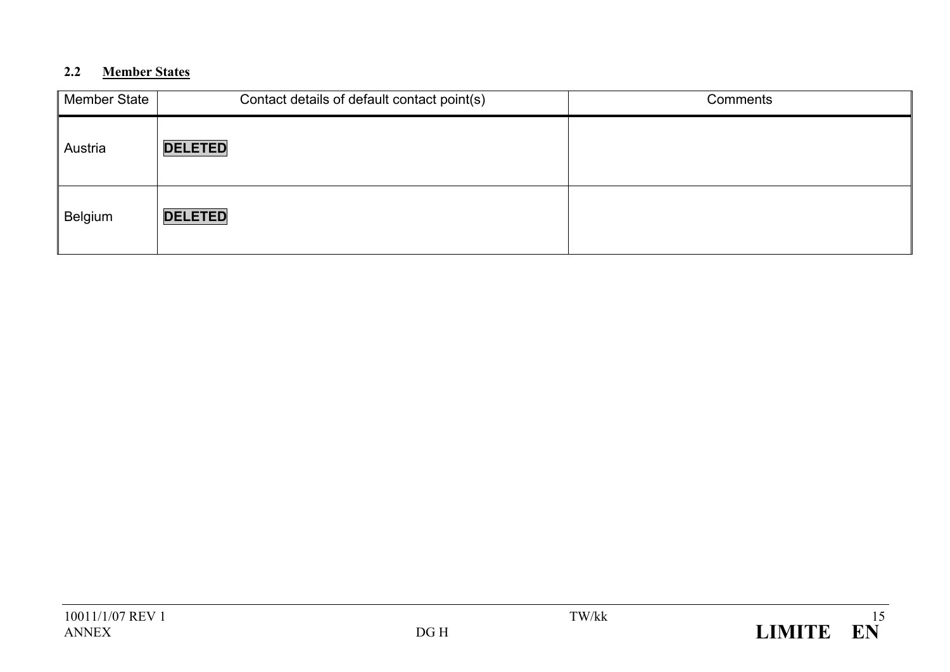# **2.2 Member States**

<span id="page-17-0"></span>

| Member State | Contact details of default contact point(s) | Comments |
|--------------|---------------------------------------------|----------|
| Austria      | <b>DELETED</b>                              |          |
| Belgium      | <b>DELETED</b>                              |          |

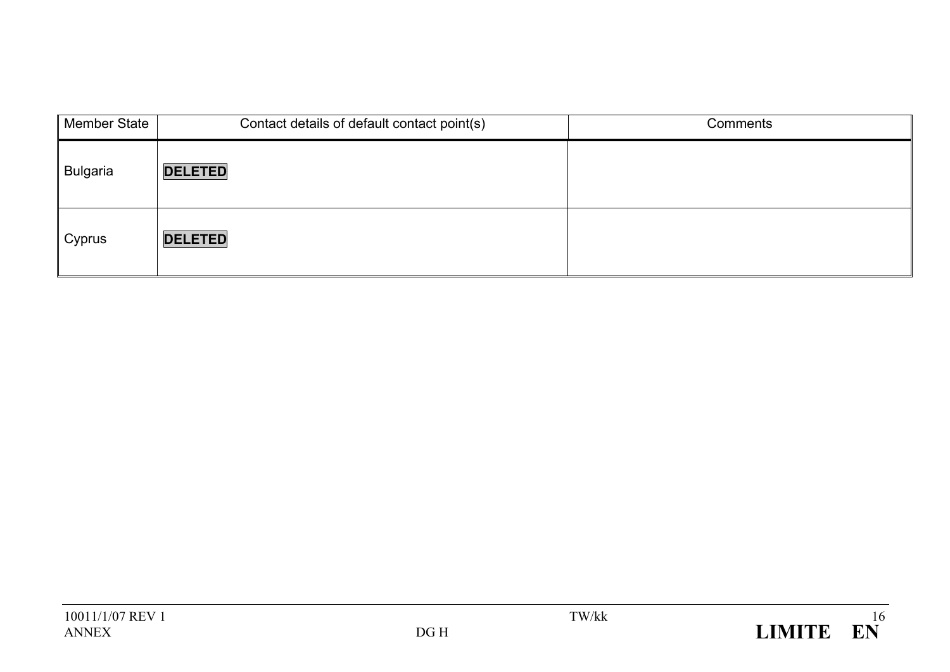| <b>Member State</b> | Contact details of default contact point(s) | Comments |
|---------------------|---------------------------------------------|----------|
| <b>Bulgaria</b>     | <b>DELETED</b>                              |          |
| Cyprus              | <b>DELETED</b>                              |          |

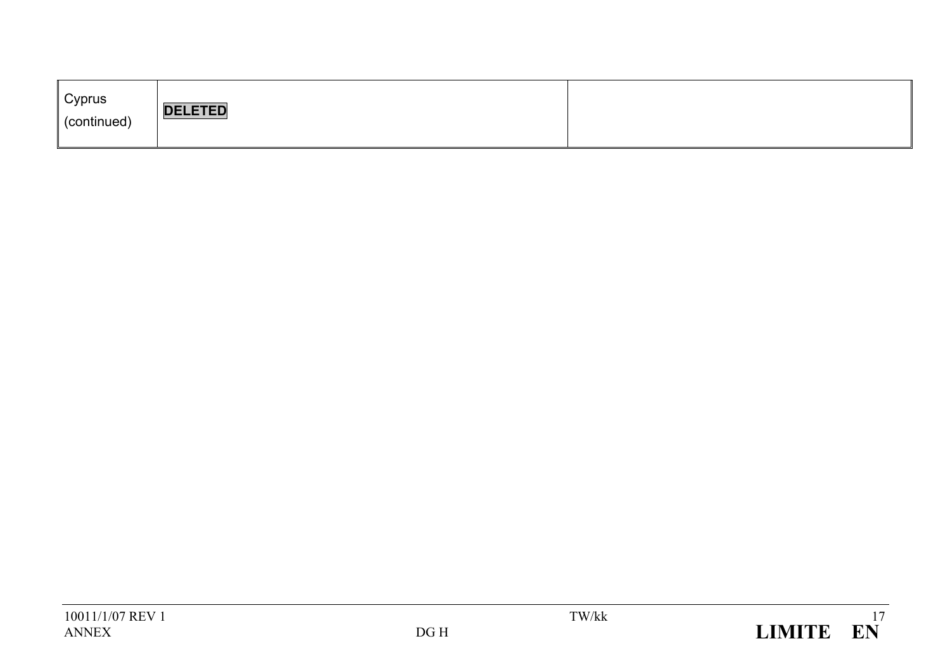| Cyprus<br><b>DELETED</b><br>(continued) |  |
|-----------------------------------------|--|
|-----------------------------------------|--|

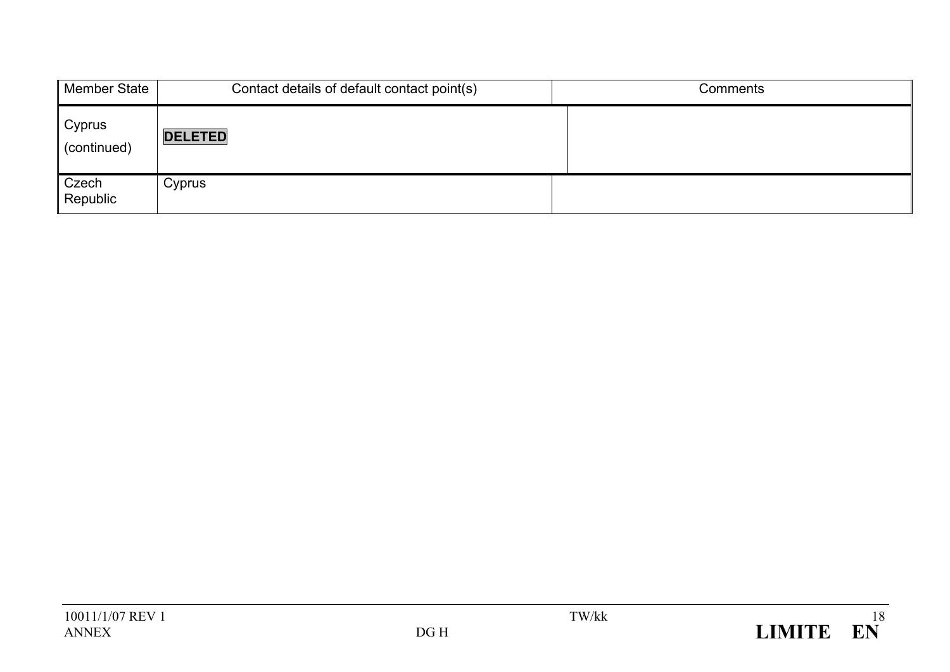| <b>Member State</b>   | Contact details of default contact point(s) | Comments |
|-----------------------|---------------------------------------------|----------|
| Cyprus<br>(continued) | <b>DELETED</b>                              |          |
| Czech<br>Republic     | Cyprus                                      |          |

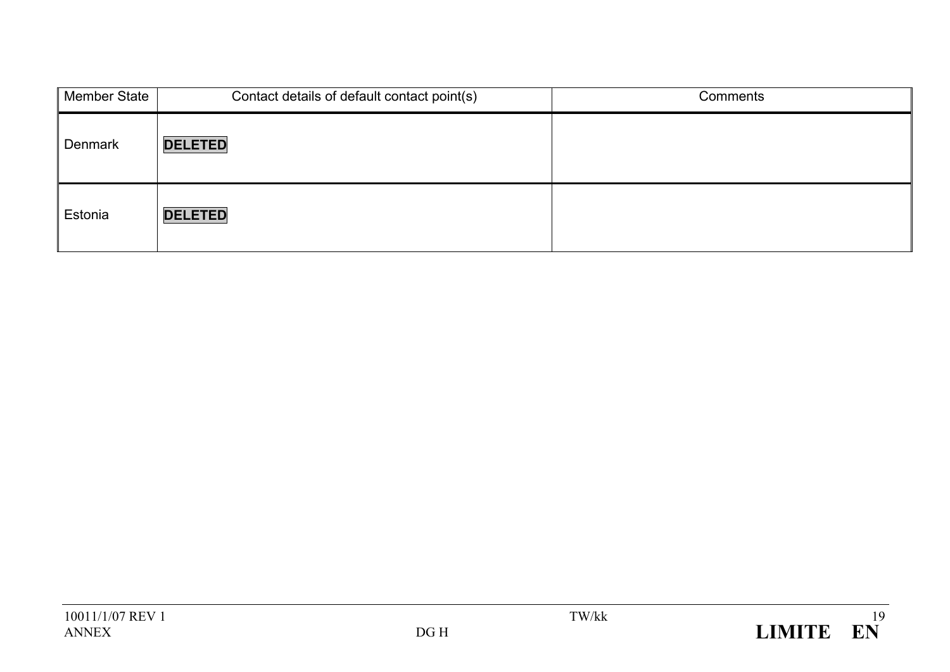| Member State   | Contact details of default contact point(s) | Comments |
|----------------|---------------------------------------------|----------|
| <b>Denmark</b> | <b>DELETED</b>                              |          |
| Estonia        | <b>DELETED</b>                              |          |

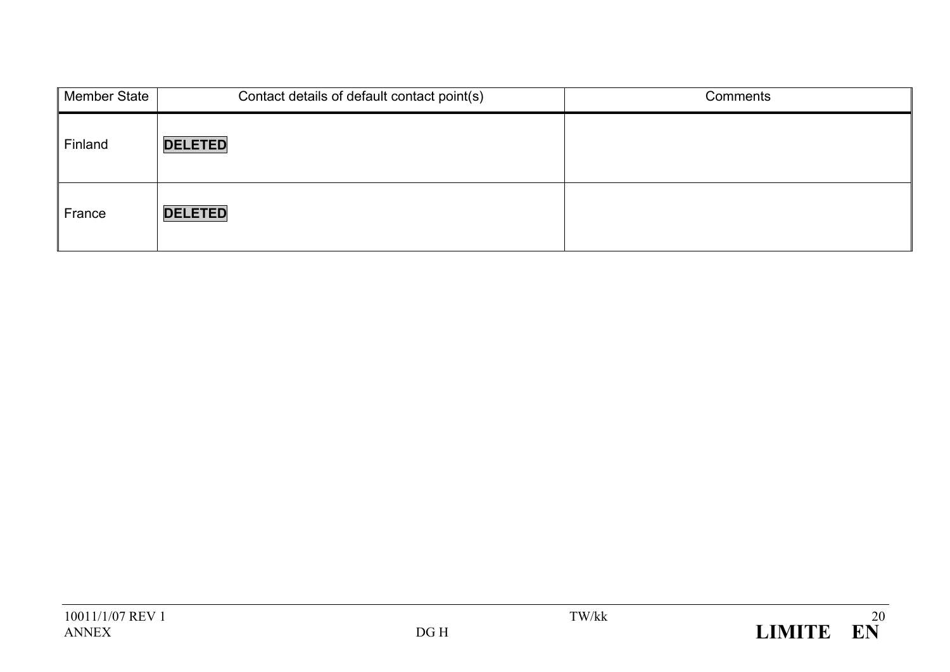| Member State | Contact details of default contact point(s) | Comments |
|--------------|---------------------------------------------|----------|
| Finland      | <b>DELETED</b>                              |          |
| France       | <b>DELETED</b>                              |          |

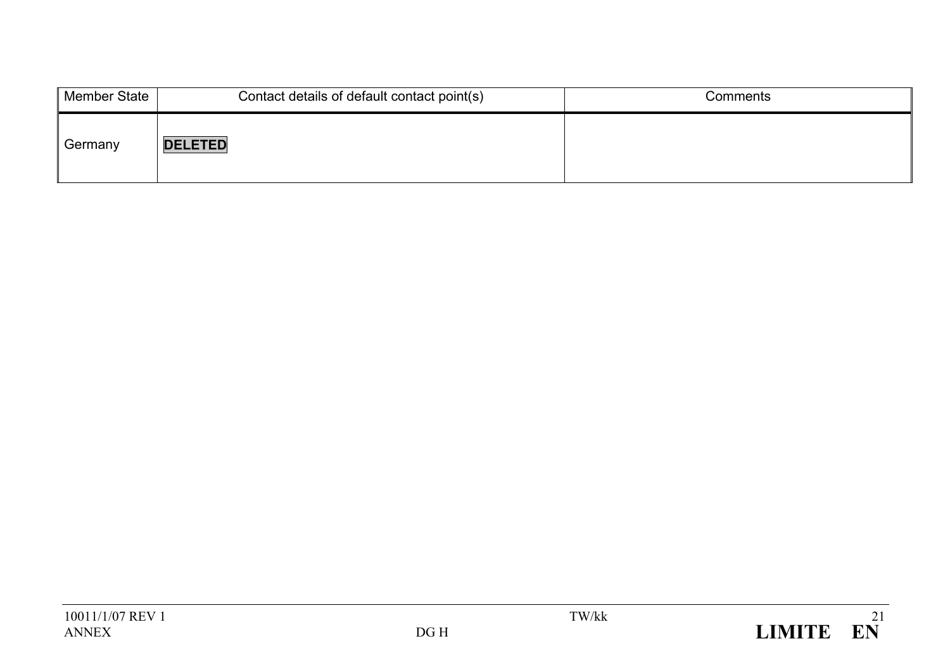| Member State | Contact details of default contact point(s) | Comments |
|--------------|---------------------------------------------|----------|
| Germany      | <b>DELETED</b>                              |          |

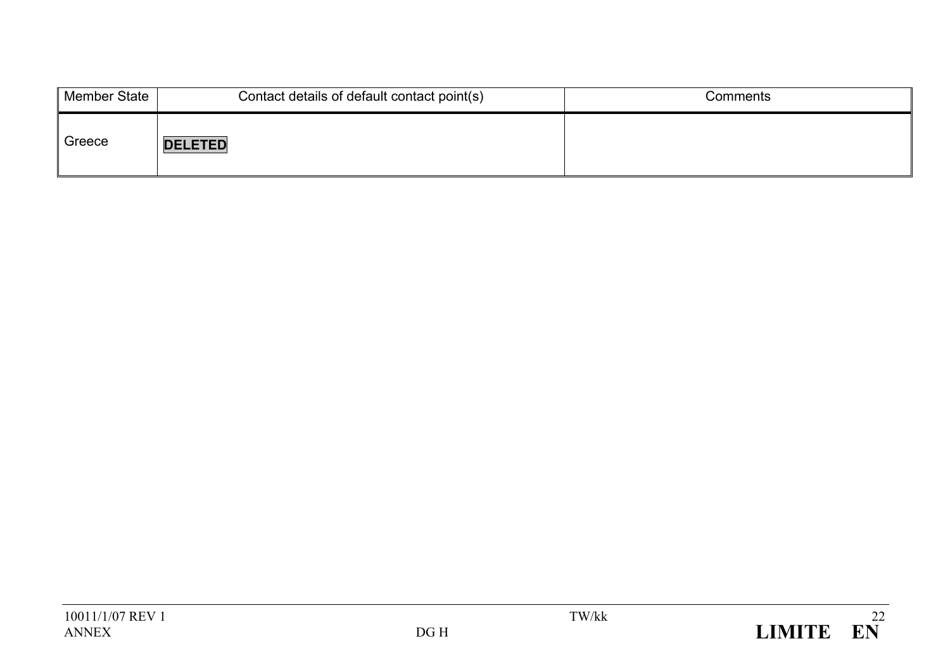| Member State | Contact details of default contact point(s) | Comments |
|--------------|---------------------------------------------|----------|
| Greece       | <b>DELETED</b>                              |          |

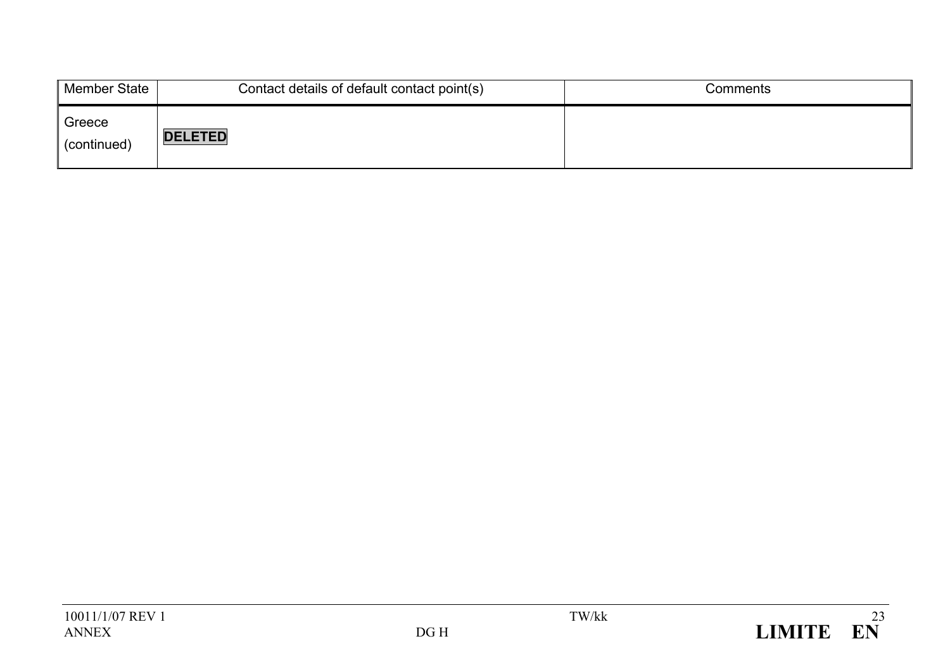| Member State          | Contact details of default contact point(s) | Comments |
|-----------------------|---------------------------------------------|----------|
| Greece<br>(continued) | <b>DELETED</b>                              |          |

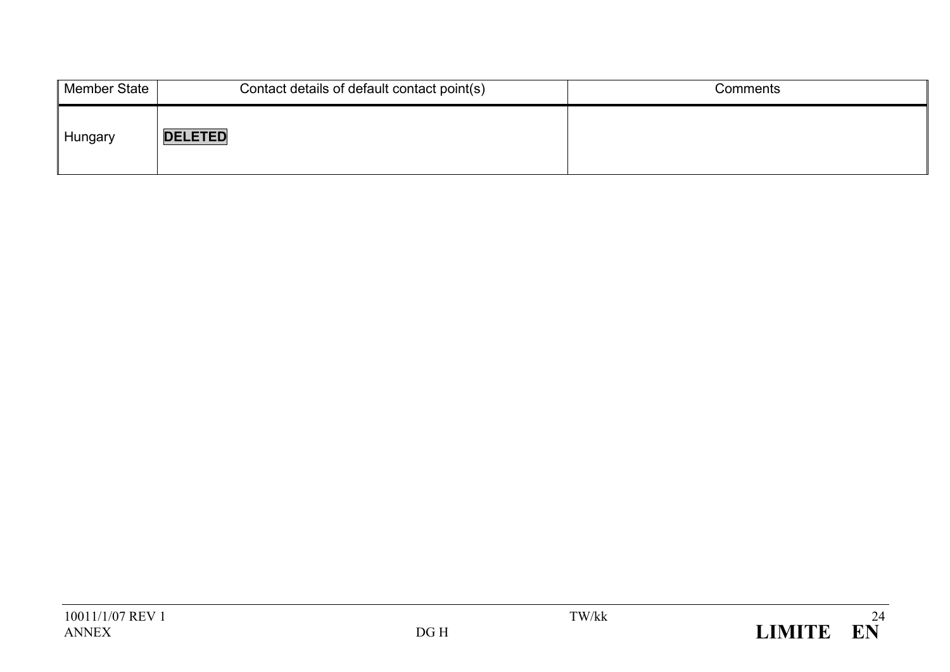| Member State | Contact details of default contact point(s) | Comments |
|--------------|---------------------------------------------|----------|
| Hungary      | <b>DELETED</b>                              |          |

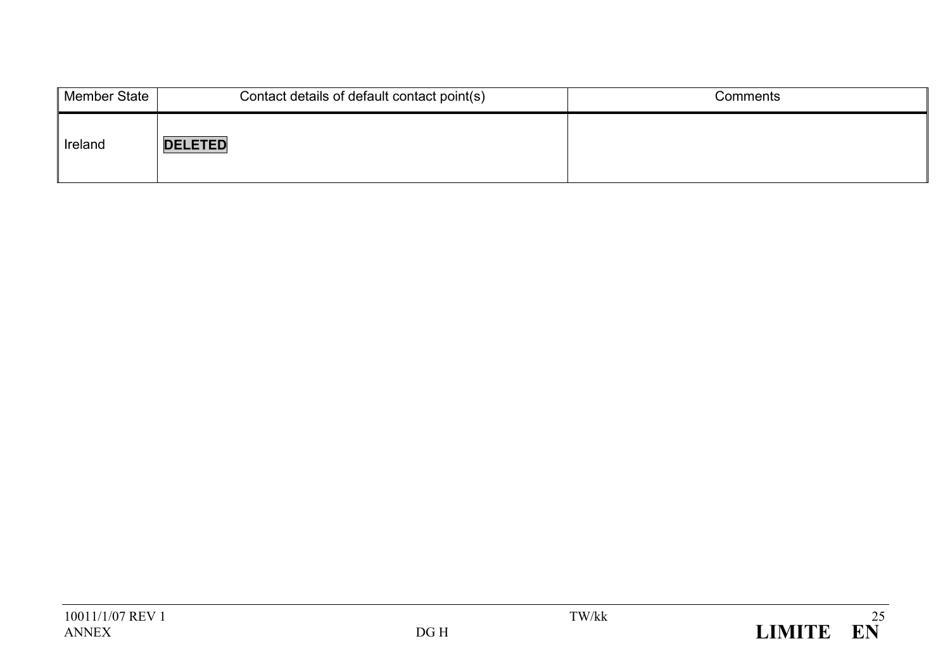| Member State | Contact details of default contact point(s) | Comments |
|--------------|---------------------------------------------|----------|
| Ireland      | <b>DELETED</b>                              |          |

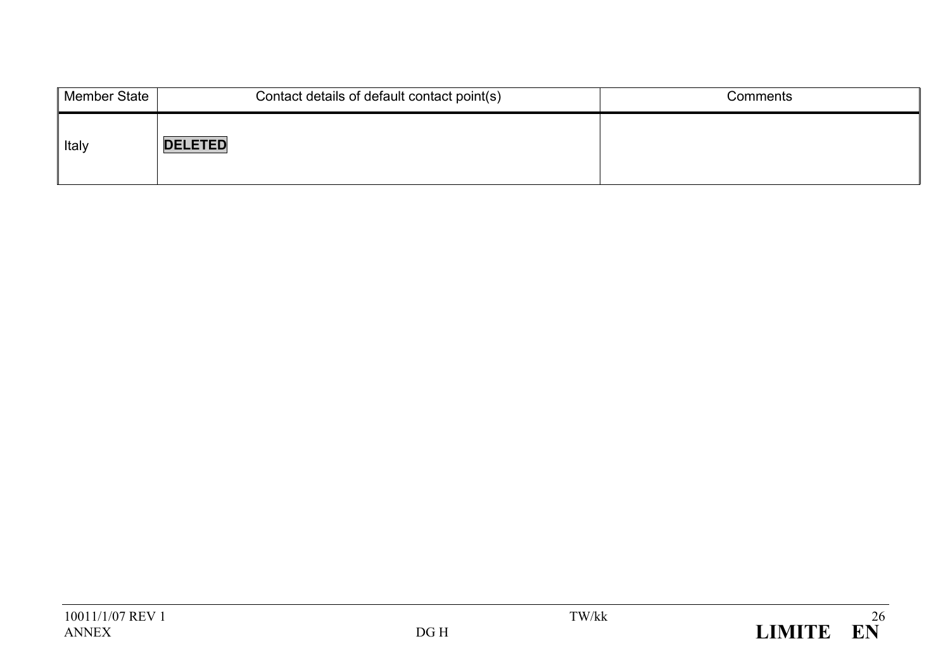| <b>Member State</b> | Contact details of default contact point(s) | Comments |
|---------------------|---------------------------------------------|----------|
| Italy               | <b>DELETED</b>                              |          |

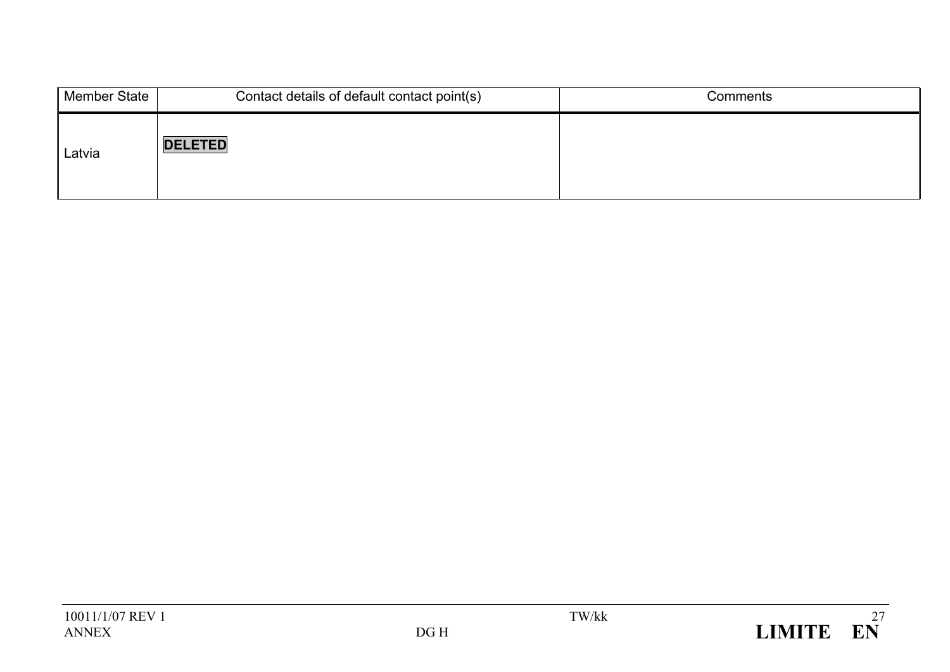| Member State | Contact details of default contact point(s) | Comments |
|--------------|---------------------------------------------|----------|
| Latvia       | <b>DELETED</b>                              |          |

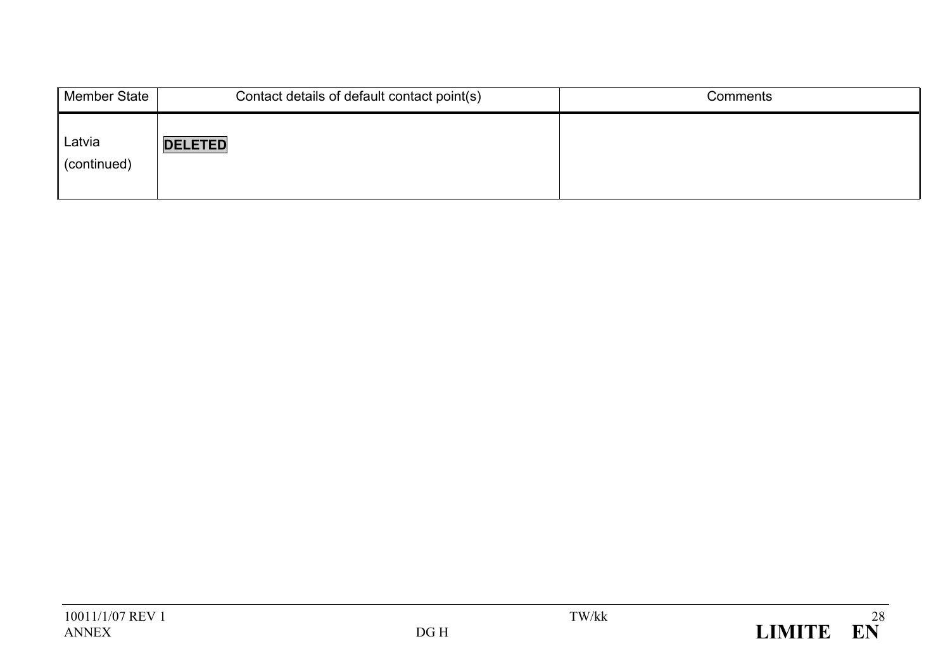| Member State          | Contact details of default contact point(s) | Comments |
|-----------------------|---------------------------------------------|----------|
| Latvia<br>(continued) | <b>DELETED</b>                              |          |

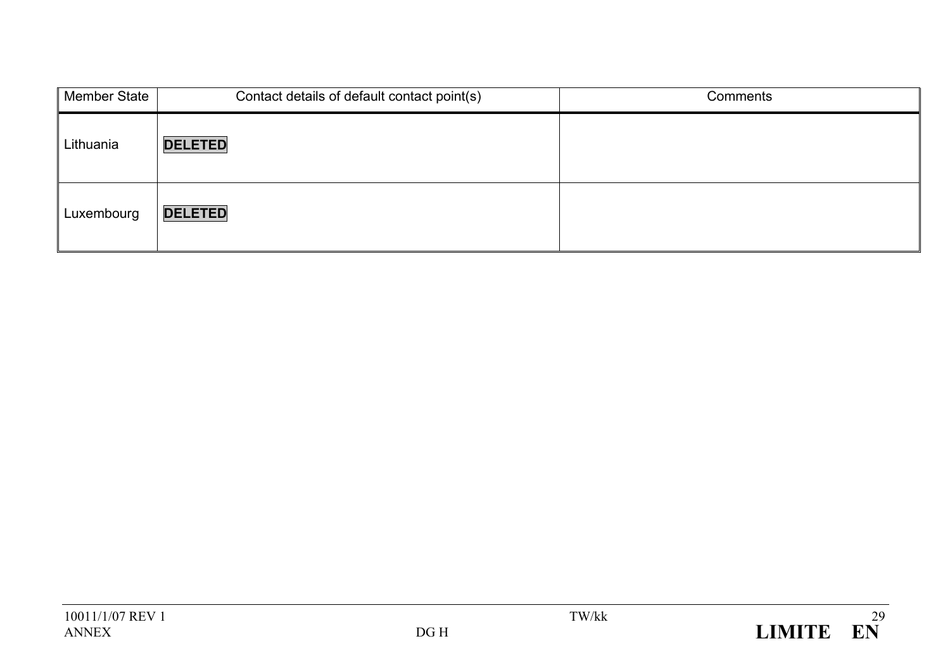| <b>Member State</b> | Contact details of default contact point(s) | Comments |
|---------------------|---------------------------------------------|----------|
| Lithuania           | <b>DELETED</b>                              |          |
| Luxembourg          | <b>DELETED</b>                              |          |

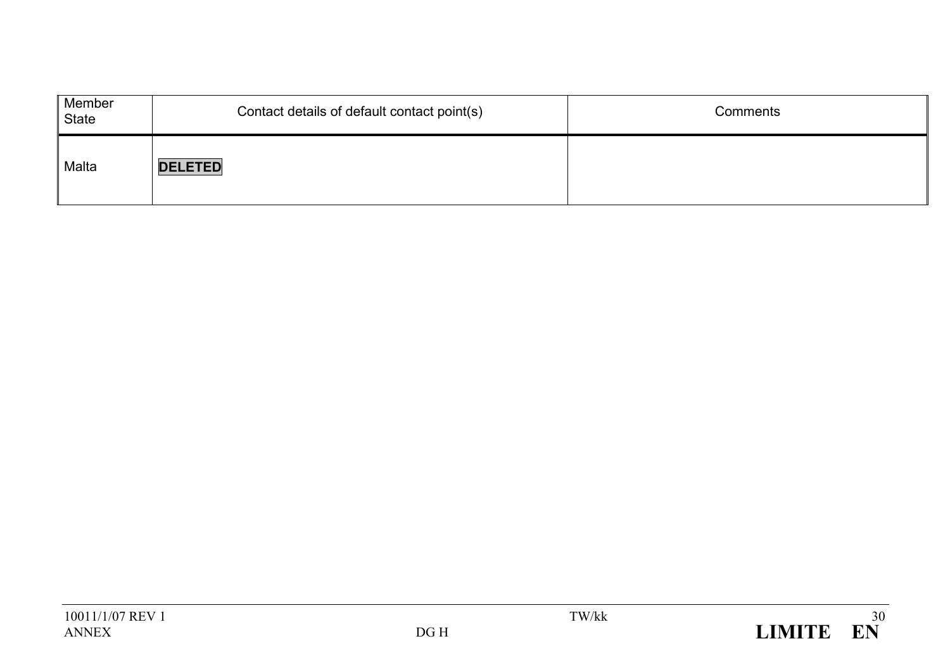| Member<br>State | Contact details of default contact point(s) | Comments |
|-----------------|---------------------------------------------|----------|
| Malta           | <b>DELETED</b>                              |          |

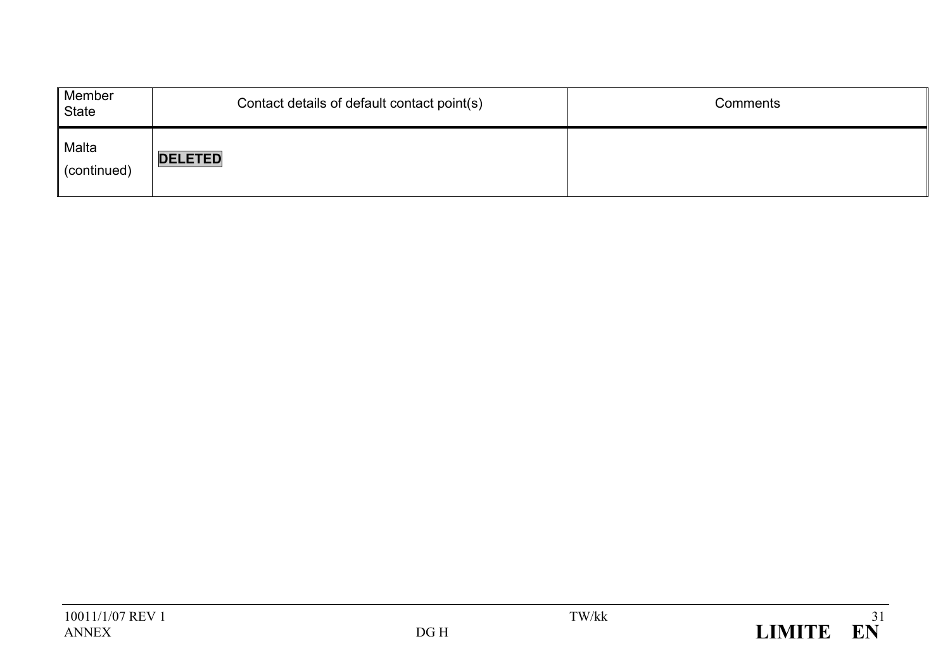| Member<br>State      | Contact details of default contact point(s) | Comments |
|----------------------|---------------------------------------------|----------|
| Malta<br>(continued) | <b>DELETED</b>                              |          |

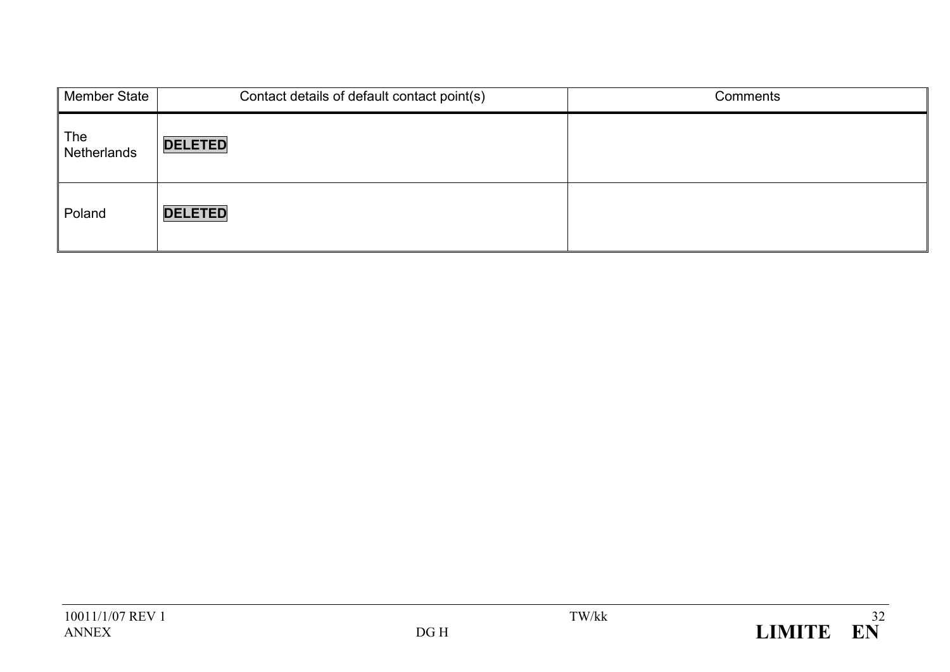| <b>Member State</b> | Contact details of default contact point(s) | Comments |
|---------------------|---------------------------------------------|----------|
| The<br>Netherlands  | <b>DELETED</b>                              |          |
| Poland              | <b>DELETED</b>                              |          |

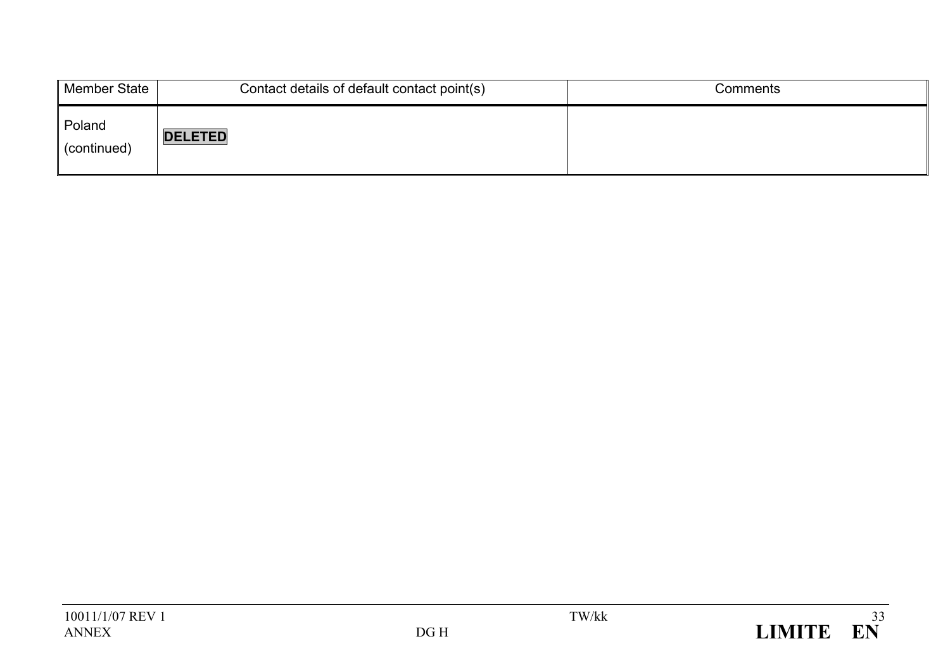| Member State          | Contact details of default contact point(s) | Comments |
|-----------------------|---------------------------------------------|----------|
| Poland<br>(continued) | <b>DELETED</b>                              |          |

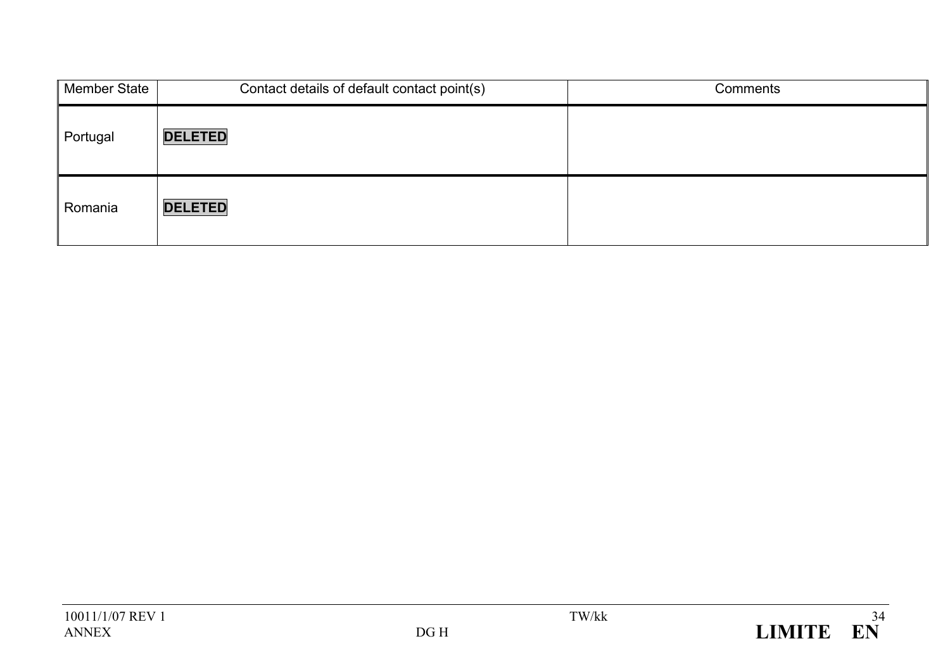| <b>Member State</b> | Contact details of default contact point(s) | Comments |
|---------------------|---------------------------------------------|----------|
| Portugal            | <b>DELETED</b>                              |          |
| Romania             | <b>DELETED</b>                              |          |

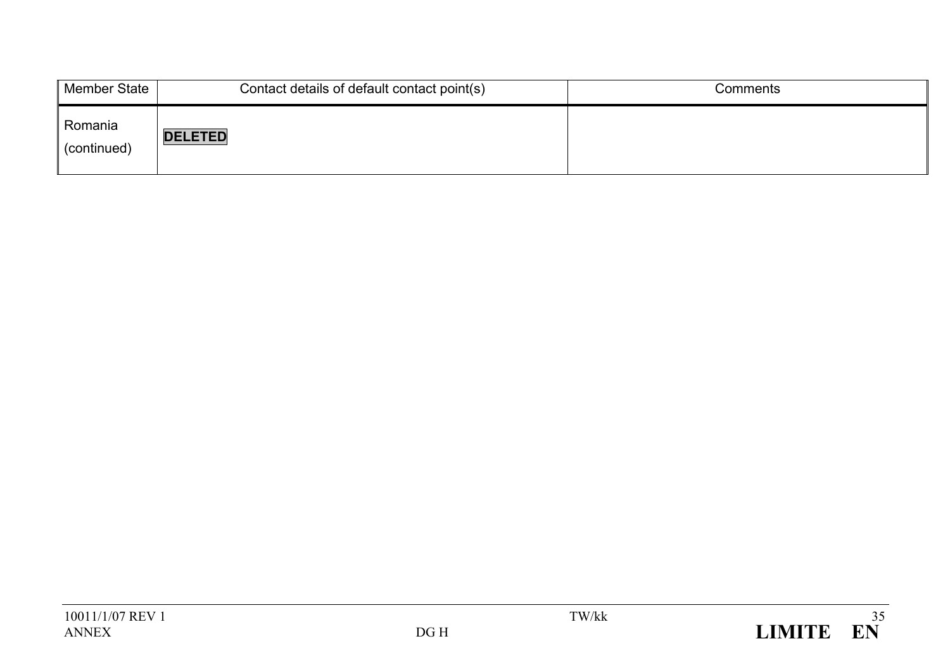| Member State           | Contact details of default contact point(s) | Comments |
|------------------------|---------------------------------------------|----------|
| Romania<br>(continued) | <b>DELETED</b>                              |          |

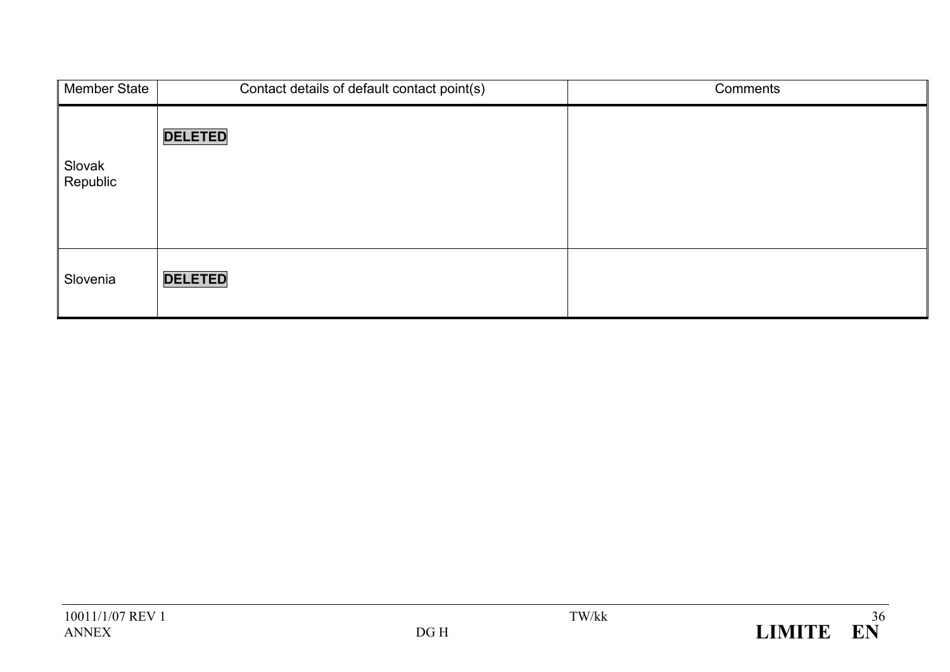| Member State       | Contact details of default contact point(s) | Comments |
|--------------------|---------------------------------------------|----------|
| Slovak<br>Republic | <b>DELETED</b>                              |          |
| Slovenia           | <b>DELETED</b>                              |          |

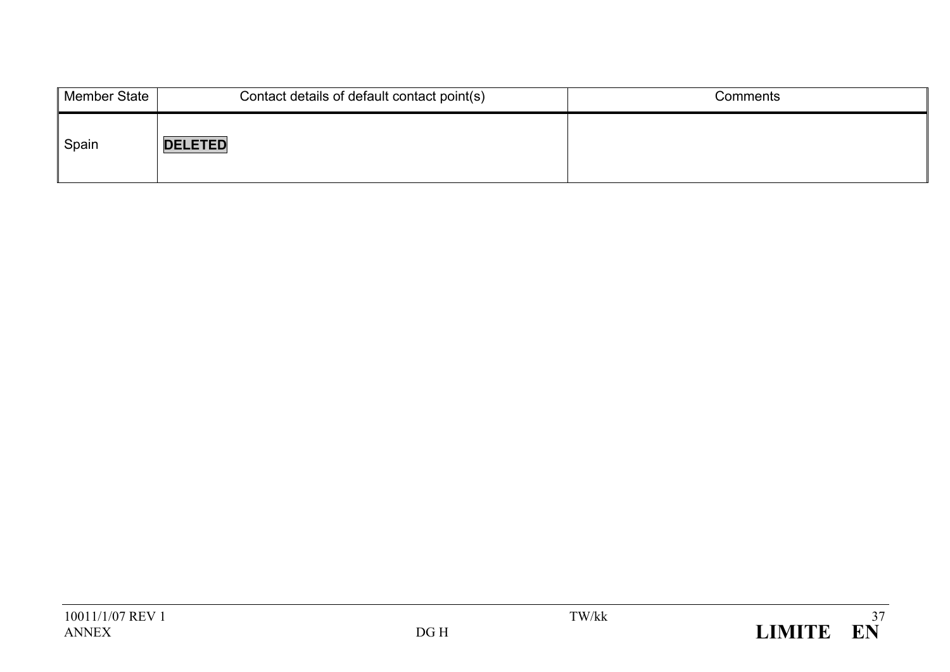| Member State | Contact details of default contact point(s) | Comments |
|--------------|---------------------------------------------|----------|
| Spain        | <b>DELETED</b>                              |          |

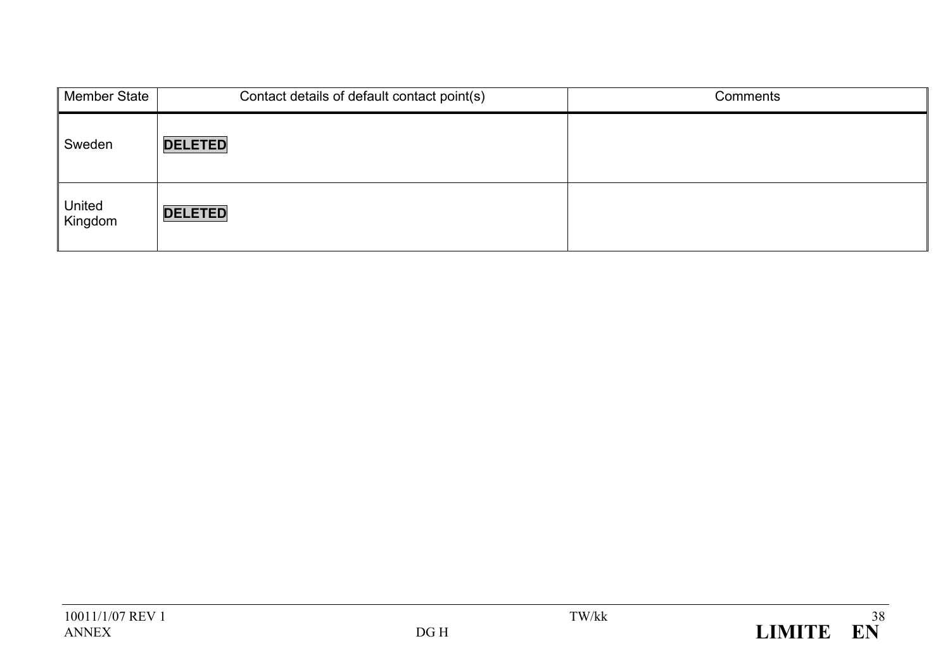| Member State      | Contact details of default contact point(s) | Comments |
|-------------------|---------------------------------------------|----------|
| Sweden            | <b>DELETED</b>                              |          |
| United<br>Kingdom | <b>DELETED</b>                              |          |

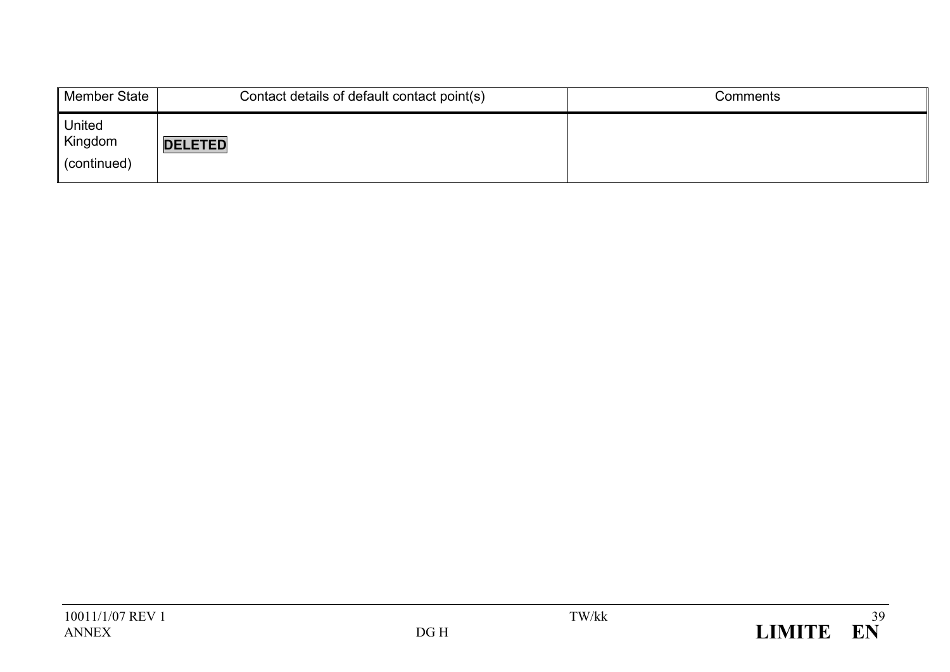| <b>Member State</b>                     | Contact details of default contact point(s) | Comments |
|-----------------------------------------|---------------------------------------------|----------|
| <b>United</b><br>Kingdom<br>(continued) | <b>DELETED</b>                              |          |

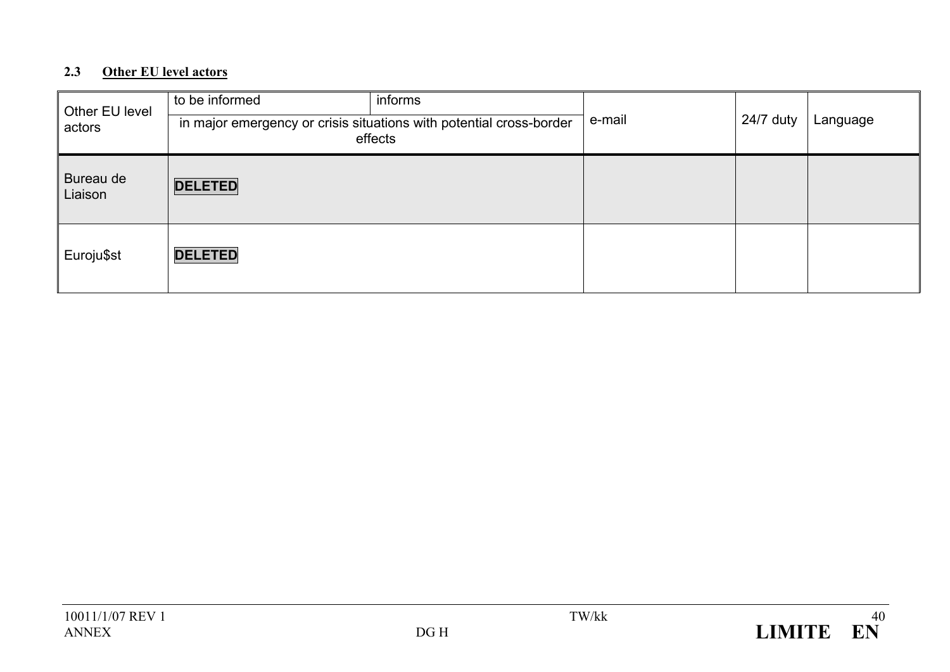## **2.3 Other EU level actors**

| Other EU level<br>actors | to be informed | informs<br>in major emergency or crisis situations with potential cross-border<br>effects | e-mail | 24/7 duty | Language |
|--------------------------|----------------|-------------------------------------------------------------------------------------------|--------|-----------|----------|
| Bureau de<br>Liaison     | <b>DELETED</b> |                                                                                           |        |           |          |
| Euroju\$st               | <b>DELETED</b> |                                                                                           |        |           |          |

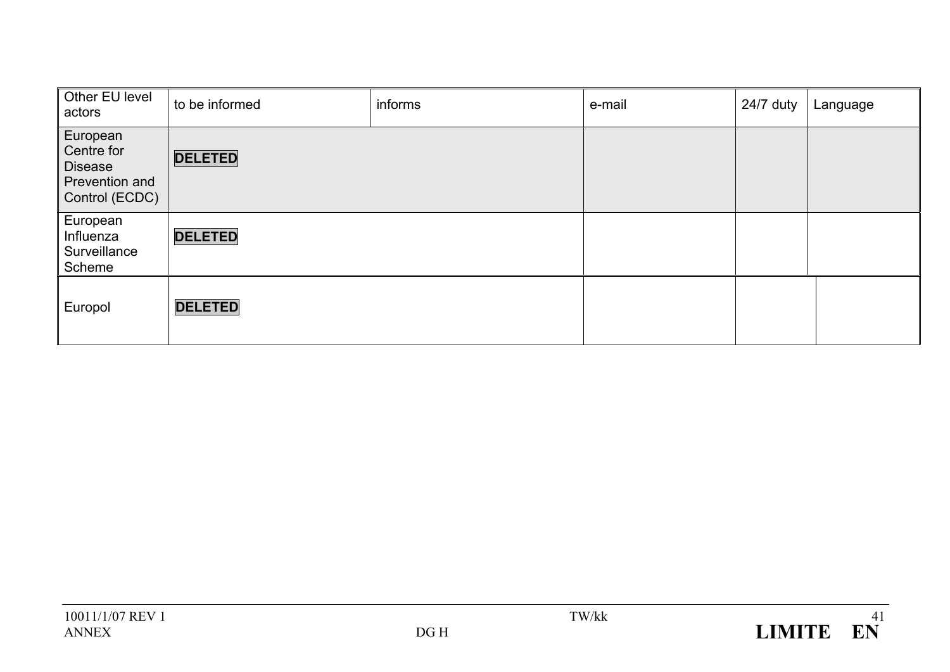| Other EU level<br>actors                                                     | to be informed | informs | e-mail | 24/7 duty | Language |
|------------------------------------------------------------------------------|----------------|---------|--------|-----------|----------|
| European<br>Centre for<br><b>Disease</b><br>Prevention and<br>Control (ECDC) | <b>DELETED</b> |         |        |           |          |
| European<br>Influenza<br>Surveillance<br>Scheme                              | <b>DELETED</b> |         |        |           |          |
| Europol                                                                      | <b>DELETED</b> |         |        |           |          |

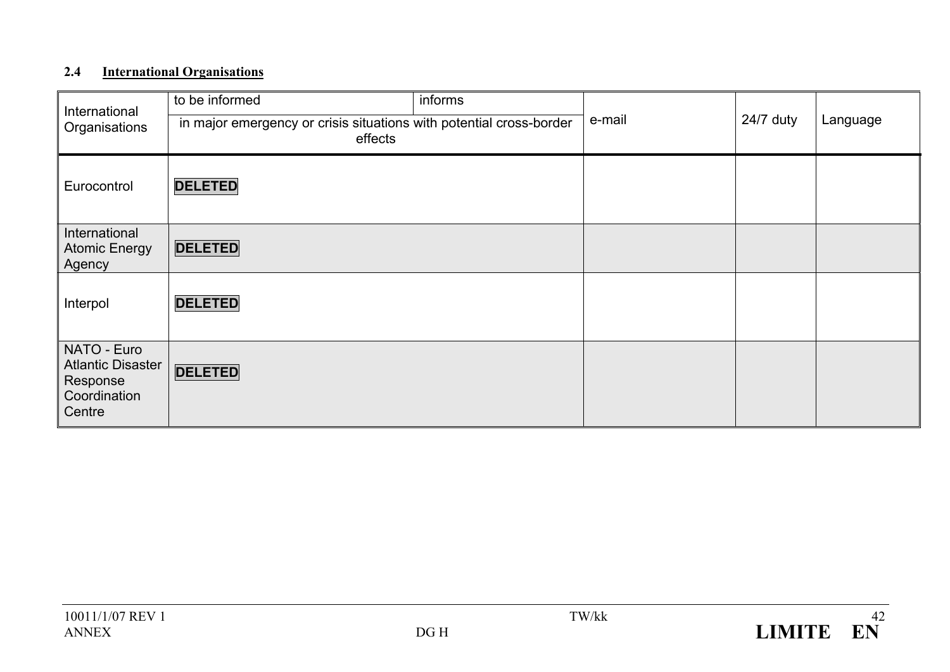## **2.4 International Organisations**

| International<br>Organisations                                                | to be informed<br>in major emergency or crisis situations with potential cross-border<br>effects | informs | e-mail | 24/7 duty | Language |
|-------------------------------------------------------------------------------|--------------------------------------------------------------------------------------------------|---------|--------|-----------|----------|
| Eurocontrol                                                                   | <b>DELETED</b>                                                                                   |         |        |           |          |
| International<br><b>Atomic Energy</b><br>Agency                               | <b>DELETED</b>                                                                                   |         |        |           |          |
| Interpol                                                                      | <b>DELETED</b>                                                                                   |         |        |           |          |
| NATO - Euro<br><b>Atlantic Disaster</b><br>Response<br>Coordination<br>Centre | <b>DELETED</b>                                                                                   |         |        |           |          |

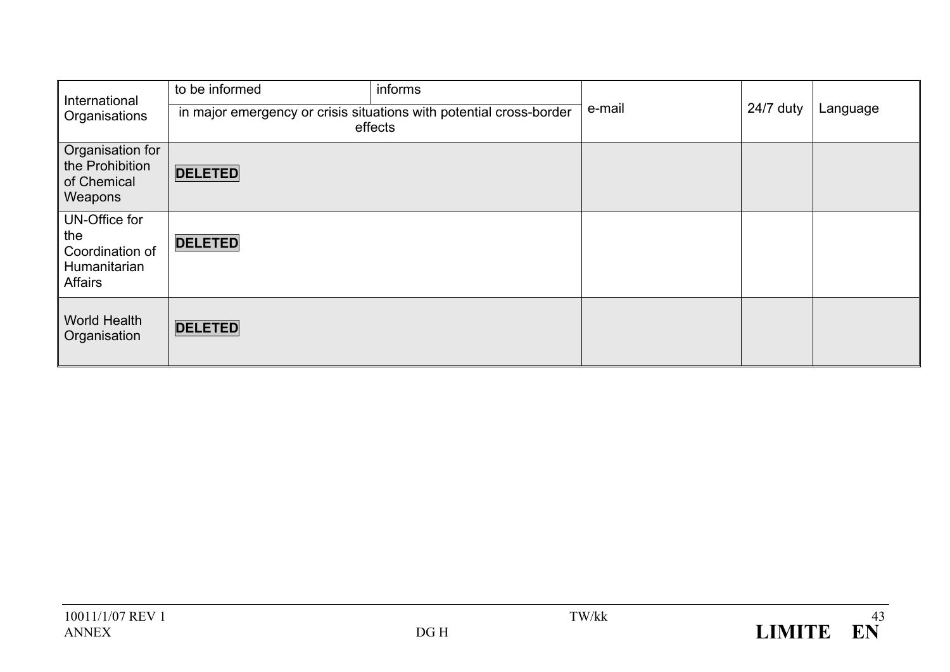| International<br>Organisations                                            | to be informed                                                                 | informs |        |           |          |
|---------------------------------------------------------------------------|--------------------------------------------------------------------------------|---------|--------|-----------|----------|
|                                                                           | in major emergency or crisis situations with potential cross-border<br>effects |         | e-mail | 24/7 duty | Language |
| Organisation for<br>the Prohibition<br>of Chemical<br>Weapons             | <b>DELETED</b>                                                                 |         |        |           |          |
| UN-Office for<br>the<br>Coordination of<br>Humanitarian<br><b>Affairs</b> | <b>DELETED</b>                                                                 |         |        |           |          |
| <b>World Health</b><br>Organisation                                       | <b>DELETED</b>                                                                 |         |        |           |          |

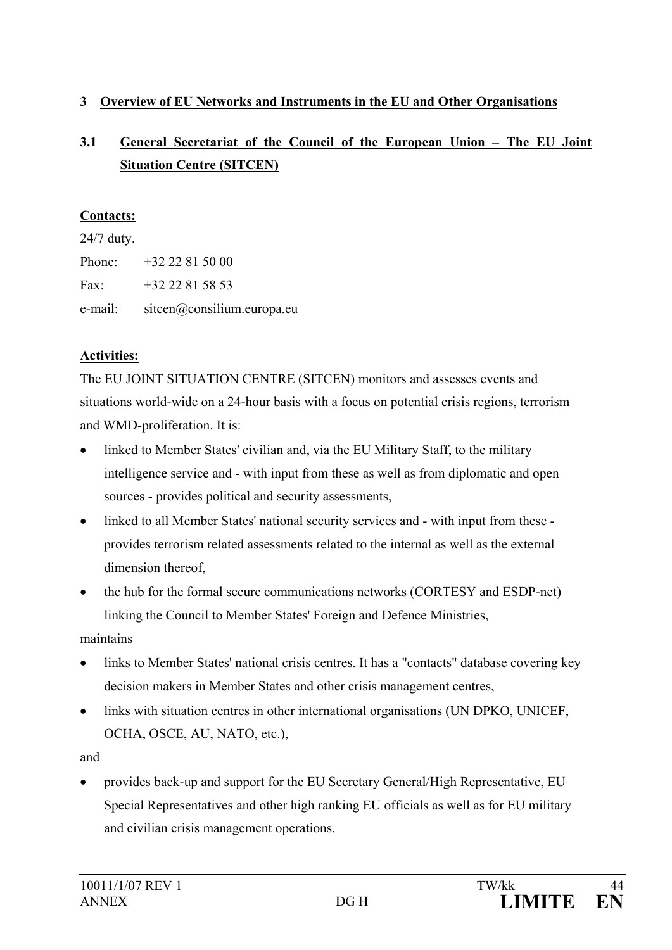### **3 Overview of EU Networks and Instruments in the EU and Other Organisations**

# **3.1 General Secretariat of the Council of the European Union – The EU Joint Situation Centre (SITCEN)**

### **Contacts:**

24/7 duty. Phone: +32 22 81 50 00 Fax:  $+32,22,81,58,53$ e-mail: sitcen@consilium.europa.eu

## **Activities:**

The EU JOINT SITUATION CENTRE (SITCEN) monitors and assesses events and situations world-wide on a 24-hour basis with a focus on potential crisis regions, terrorism and WMD-proliferation. It is:

- linked to Member States' civilian and, via the EU Military Staff, to the military intelligence service and - with input from these as well as from diplomatic and open sources - provides political and security assessments,
- linked to all Member States' national security services and with input from these provides terrorism related assessments related to the internal as well as the external dimension thereof,
- the hub for the formal secure communications networks (CORTESY and ESDP-net) linking the Council to Member States' Foreign and Defence Ministries,

maintains

- links to Member States' national crisis centres. It has a "contacts" database covering key decision makers in Member States and other crisis management centres,
- links with situation centres in other international organisations (UN DPKO, UNICEF, OCHA, OSCE, AU, NATO, etc.),

and

• provides back-up and support for the EU Secretary General/High Representative, EU Special Representatives and other high ranking EU officials as well as for EU military and civilian crisis management operations.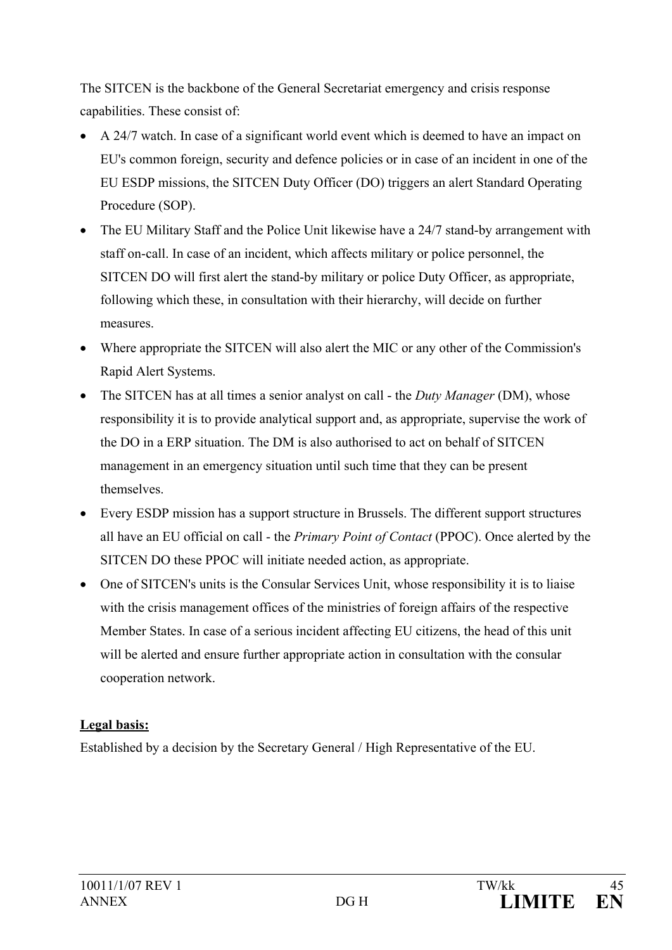The SITCEN is the backbone of the General Secretariat emergency and crisis response capabilities. These consist of:

- A 24/7 watch. In case of a significant world event which is deemed to have an impact on EU's common foreign, security and defence policies or in case of an incident in one of the EU ESDP missions, the SITCEN Duty Officer (DO) triggers an alert Standard Operating Procedure (SOP).
- The EU Military Staff and the Police Unit likewise have a 24/7 stand-by arrangement with staff on-call. In case of an incident, which affects military or police personnel, the SITCEN DO will first alert the stand-by military or police Duty Officer, as appropriate, following which these, in consultation with their hierarchy, will decide on further measures.
- Where appropriate the SITCEN will also alert the MIC or any other of the Commission's Rapid Alert Systems.
- The SITCEN has at all times a senior analyst on call the *Duty Manager* (DM), whose responsibility it is to provide analytical support and, as appropriate, supervise the work of the DO in a ERP situation. The DM is also authorised to act on behalf of SITCEN management in an emergency situation until such time that they can be present themselves.
- Every ESDP mission has a support structure in Brussels. The different support structures all have an EU official on call - the *Primary Point of Contact* (PPOC). Once alerted by the SITCEN DO these PPOC will initiate needed action, as appropriate.
- One of SITCEN's units is the Consular Services Unit, whose responsibility it is to liaise with the crisis management offices of the ministries of foreign affairs of the respective Member States. In case of a serious incident affecting EU citizens, the head of this unit will be alerted and ensure further appropriate action in consultation with the consular cooperation network.

## **Legal basis:**

Established by a decision by the Secretary General / High Representative of the EU.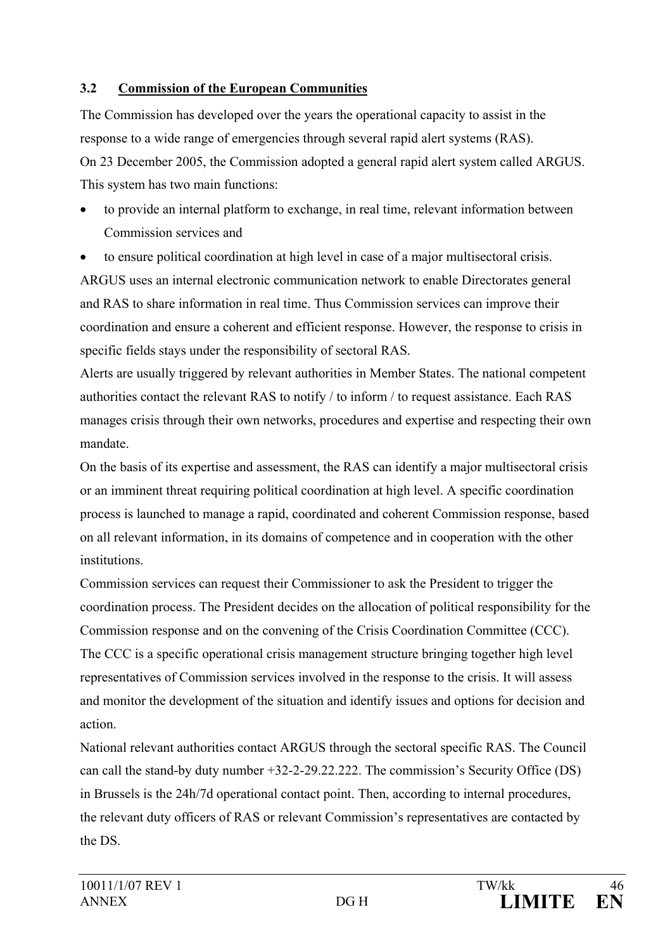### **3.2 Commission of the European Communities**

The Commission has developed over the years the operational capacity to assist in the response to a wide range of emergencies through several rapid alert systems (RAS). On 23 December 2005, the Commission adopted a general rapid alert system called ARGUS. This system has two main functions:

• to provide an internal platform to exchange, in real time, relevant information between Commission services and

• to ensure political coordination at high level in case of a major multisectoral crisis. ARGUS uses an internal electronic communication network to enable Directorates general and RAS to share information in real time. Thus Commission services can improve their coordination and ensure a coherent and efficient response. However, the response to crisis in specific fields stays under the responsibility of sectoral RAS.

Alerts are usually triggered by relevant authorities in Member States. The national competent authorities contact the relevant RAS to notify / to inform / to request assistance. Each RAS manages crisis through their own networks, procedures and expertise and respecting their own mandate.

On the basis of its expertise and assessment, the RAS can identify a major multisectoral crisis or an imminent threat requiring political coordination at high level. A specific coordination process is launched to manage a rapid, coordinated and coherent Commission response, based on all relevant information, in its domains of competence and in cooperation with the other institutions.

Commission services can request their Commissioner to ask the President to trigger the coordination process. The President decides on the allocation of political responsibility for the Commission response and on the convening of the Crisis Coordination Committee (CCC). The CCC is a specific operational crisis management structure bringing together high level representatives of Commission services involved in the response to the crisis. It will assess and monitor the development of the situation and identify issues and options for decision and action.

National relevant authorities contact ARGUS through the sectoral specific RAS. The Council can call the stand-by duty number +32-2-29.22.222. The commission's Security Office (DS) in Brussels is the 24h/7d operational contact point. Then, according to internal procedures, the relevant duty officers of RAS or relevant Commission's representatives are contacted by the DS.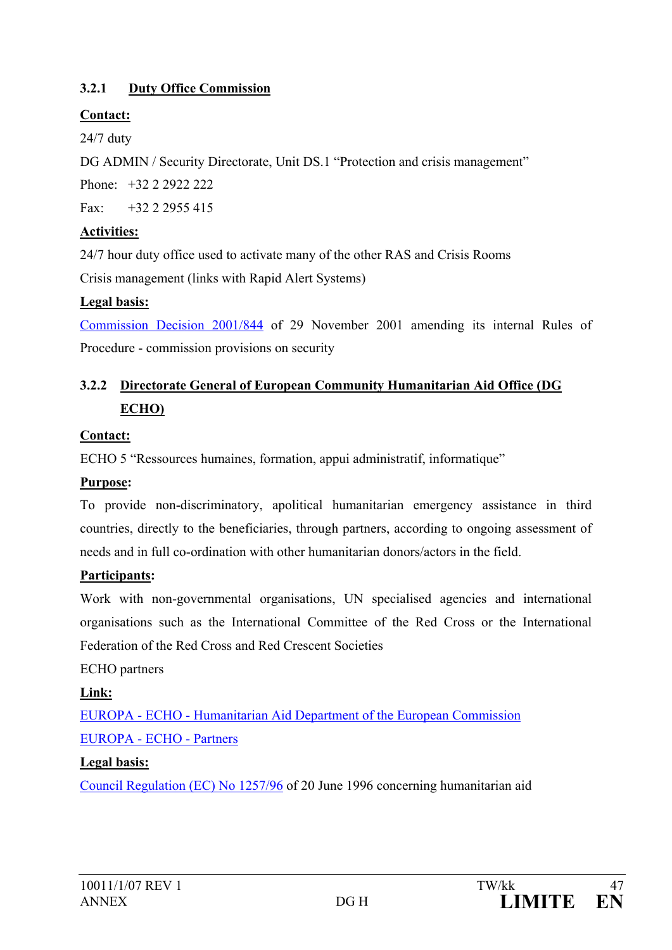## **3.2.1 Duty Office Commission**

### **Contact:**

24/7 duty

DG ADMIN / Security Directorate, Unit DS.1 "Protection and crisis management"

Phone: +32 2 2922 222

Fax:  $+32$  2 2955 415

## **Activities:**

24/7 hour duty office used to activate many of the other RAS and Crisis Rooms Crisis management (links with Rapid Alert Systems)

### **Legal basis:**

[Commission Decision 2001/844](http://europa.eu.int/eur-lex/pri/en/oj/dat/2001/l_317/l_31720011203en00010055.pdf) of 29 November 2001 amending its internal Rules of Procedure - commission provisions on security

# **3.2.2 Directorate General of European Community Humanitarian Aid Office (DG ECHO)**

## **Contact:**

ECHO 5 "Ressources humaines, formation, appui administratif, informatique"

## **Purpose:**

To provide non-discriminatory, apolitical humanitarian emergency assistance in third countries, directly to the beneficiaries, through partners, according to ongoing assessment of needs and in full co-ordination with other humanitarian donors/actors in the field.

### **Participants:**

Work with non-governmental organisations, UN specialised agencies and international organisations such as the International Committee of the Red Cross or the International Federation of the Red Cross and Red Crescent Societies

## ECHO partners

## **Link:**

EUROPA - ECHO - [Humanitarian Aid Department of the European Commission](http://www.europa.eu.int/comm/echo/index_en.htm) [EUROPA -](http://www.europa.eu.int/comm/echo/partners/index_en.htm) ECHO - Partners

## **Legal basis:**

[Council Regulation \(EC\) No 1257/96](http://www.europa.eu.int/smartapi/cgi/sga_doc?smartapi!celexapi!prod!CELEXnumdoc&lg=en&numdoc=31996R1257&model=guichett) of 20 June 1996 concerning humanitarian aid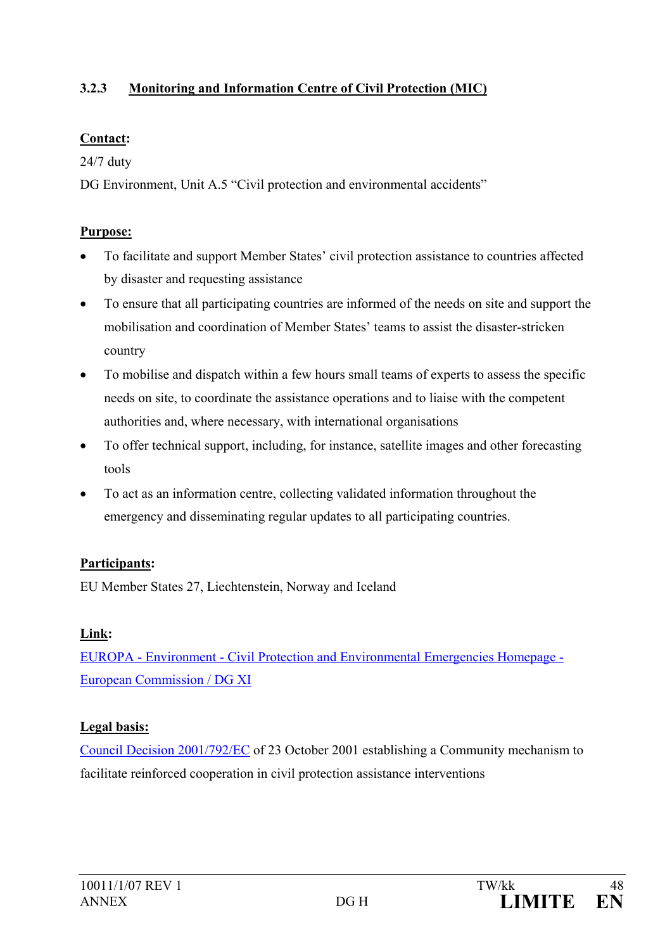### **3.2.3 Monitoring and Information Centre of Civil Protection (MIC)**

### **Contact:**

24/7 duty

DG Environment, Unit A.5 "Civil protection and environmental accidents"

## **Purpose:**

- To facilitate and support Member States' civil protection assistance to countries affected by disaster and requesting assistance
- To ensure that all participating countries are informed of the needs on site and support the mobilisation and coordination of Member States' teams to assist the disaster-stricken country
- To mobilise and dispatch within a few hours small teams of experts to assess the specific needs on site, to coordinate the assistance operations and to liaise with the competent authorities and, where necessary, with international organisations
- To offer technical support, including, for instance, satellite images and other forecasting tools
- To act as an information centre, collecting validated information throughout the emergency and disseminating regular updates to all participating countries.

# **Participants:**

EU Member States 27, Liechtenstein, Norway and Iceland

# **Link:**

EUROPA - Environment - [Civil Protection and Environmental Emergencies Homepage -](http://europa.eu.int/comm/environment/civil/index.htm) [European Commission / DG XI](http://europa.eu.int/comm/environment/civil/index.htm)

# **Legal basis:**

[Council Decision 2001/792/EC](http://europa.eu.int/comm/environment/civil/prote/cplegis/301d0792_en.htm) of 23 October 2001 establishing a Community mechanism to facilitate reinforced cooperation in civil protection assistance interventions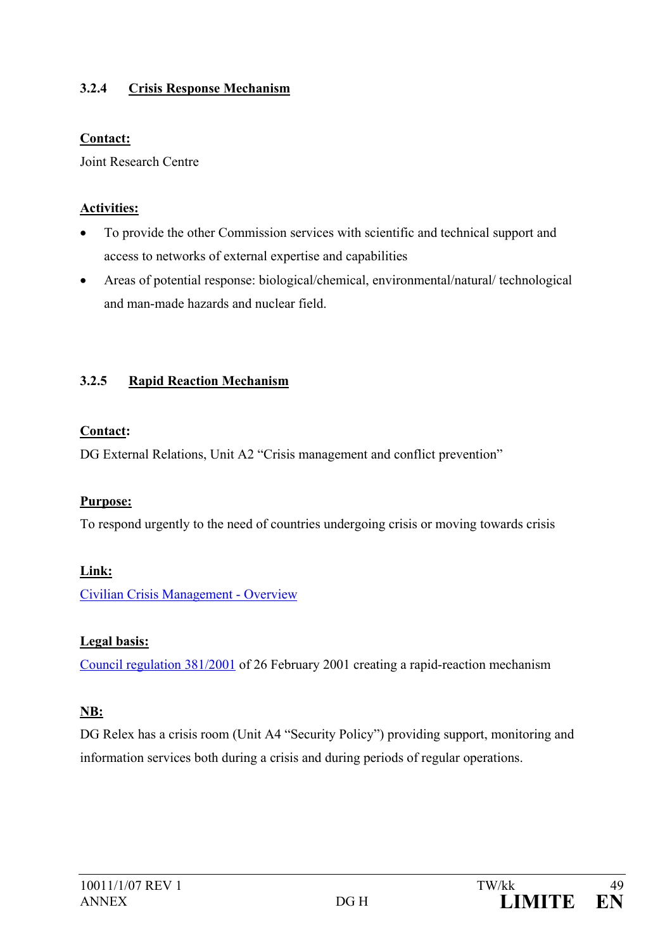### **3.2.4 Crisis Response Mechanism**

#### **Contact:**

Joint Research Centre

#### **Activities:**

- To provide the other Commission services with scientific and technical support and access to networks of external expertise and capabilities
- Areas of potential response: biological/chemical, environmental/natural/ technological and man-made hazards and nuclear field.

### **3.2.5 Rapid Reaction Mechanism**

### **Contact:**

DG External Relations, Unit A2 "Crisis management and conflict prevention"

### **Purpose:**

To respond urgently to the need of countries undergoing crisis or moving towards crisis

### **Link:**

[Civilian Crisis Management -](http://europa.eu.int/comm/external_relations/cpcm/cm.htm) Overview

### **Legal basis:**

[Council regulation 381/2001](http://europa.eu.int/eur-lex/pri/en/oj/dat/2001/l_057/l_05720010227en00050009.pdf) of 26 February 2001 creating a rapid-reaction mechanism

### **NB:**

DG Relex has a crisis room (Unit A4 "Security Policy") providing support, monitoring and information services both during a crisis and during periods of regular operations.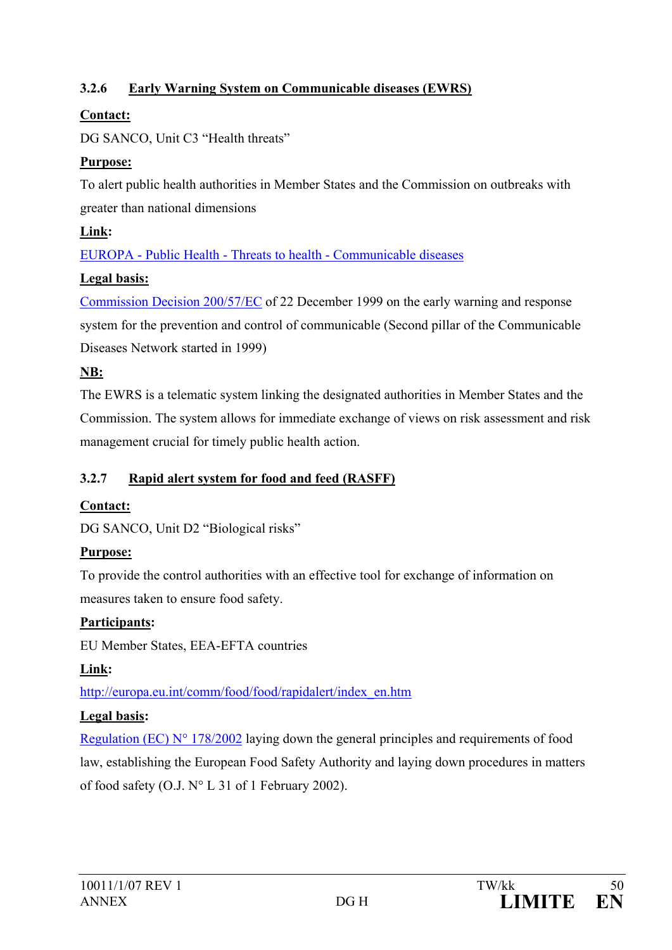## **3.2.6 Early Warning System on Communicable diseases (EWRS)**

## **Contact:**

DG SANCO, Unit C3 "Health threats"

## **Purpose:**

To alert public health authorities in Member States and the Commission on outbreaks with greater than national dimensions

# **Link:**

EUROPA - Public Health - Threats to health - [Communicable diseases](http://europa.eu.int/comm/health/ph_threats/com/comm_diseases_en.htm)

## **Legal basis:**

[Commission Decision 200/57/EC](http://europa.eu.int/eur-lex/pri/en/oj/dat/2000/l_021/l_02120000126en00320035.pdf) of 22 December 1999 on the early warning and response system for the prevention and control of communicable (Second pillar of the Communicable Diseases Network started in 1999)

## **NB:**

The EWRS is a telematic system linking the designated authorities in Member States and the Commission. The system allows for immediate exchange of views on risk assessment and risk management crucial for timely public health action.

## **3.2.7 Rapid alert system for food and feed (RASFF)**

# **Contact:**

DG SANCO, Unit D2 "Biological risks"

# **Purpose:**

To provide the control authorities with an effective tool for exchange of information on measures taken to ensure food safety.

# **Participants:**

EU Member States, EEA-EFTA countries

# **Link:**

http://europa.eu.int/comm/food/food/rapidalert/index\_en.htm

# **Legal basis:**

[Regulation \(EC\) N° 178/2002](http://europa.eu.int/comm/food/food/foodlaw/traceability/index_en.htm) laying down the general principles and requirements of food law, establishing the European Food Safety Authority and laying down procedures in matters of food safety (O.J. N° L 31 of 1 February 2002).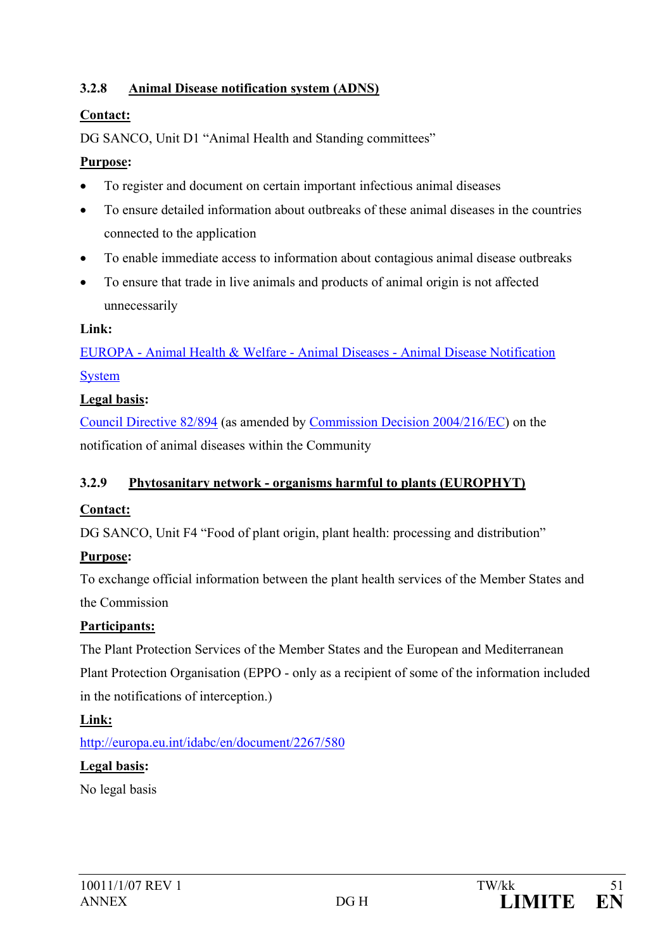### **3.2.8 Animal Disease notification system (ADNS)**

### **Contact:**

DG SANCO, Unit D1 "Animal Health and Standing committees"

### **Purpose:**

- To register and document on certain important infectious animal diseases
- To ensure detailed information about outbreaks of these animal diseases in the countries connected to the application
- To enable immediate access to information about contagious animal disease outbreaks
- To ensure that trade in live animals and products of animal origin is not affected unnecessarily

### **Link:**

EUROPA - Animal Health & Welfare - Animal Diseases - [Animal Disease Notification](http://europa.eu.int/comm/food/animal/diseases/adns/index_en.htm)  [System](http://europa.eu.int/comm/food/animal/diseases/adns/index_en.htm)

### **Legal basis:**

[Council Directive 82/894](http://europa.eu.int/eur-lex/en/consleg/pdf/1982/en_1982L0894_do_001.pdf) (as amended by [Commission Decision 2004/216/EC\)](http://europa.eu.int/eur-lex/pri/en/oj/dat/2004/l_067/l_06720040305en00270030.pdf) on the notification of animal diseases within the Community

### **3.2.9 Phytosanitary network - organisms harmful to plants (EUROPHYT)**

## **Contact:**

DG SANCO, Unit F4 "Food of plant origin, plant health: processing and distribution"

## **Purpose:**

To exchange official information between the plant health services of the Member States and the Commission

## **Participants:**

The Plant Protection Services of the Member States and the European and Mediterranean Plant Protection Organisation (EPPO - only as a recipient of some of the information included in the notifications of interception.)

**Link:**

http://europa.eu.int/idabc/en/document/2267/580

## **Legal basis:**

No legal basis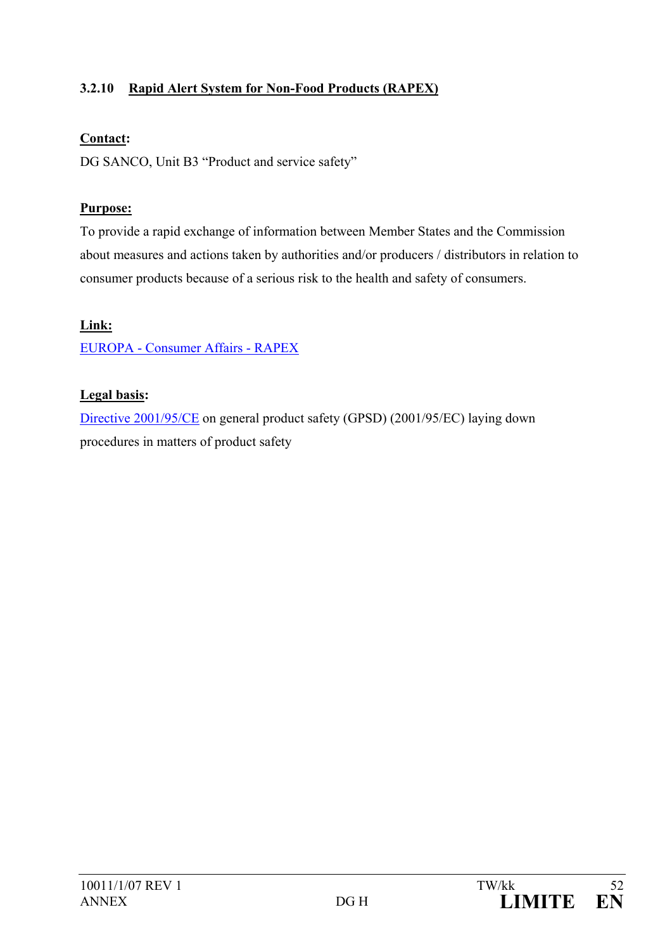## **3.2.10 Rapid Alert System for Non-Food Products (RAPEX)**

#### **Contact:**

DG SANCO, Unit B3 "Product and service safety"

### **Purpose:**

To provide a rapid exchange of information between Member States and the Commission about measures and actions taken by authorities and/or producers / distributors in relation to consumer products because of a serious risk to the health and safety of consumers.

### **Link:**

EUROPA - [Consumer Affairs -](http://europa.eu.int/comm/dgs/health_consumer/dyna/rapex/rapex_en.cfm) RAPEX

### **Legal basis:**

[Directive 2001/95/CE](http://europa.eu.int/comm/consumers/cons_safe/prod_safe/gpsd/index_en.htm) on general product safety (GPSD) [\(2001/95/EC\)](http://europa.eu.int/smartapi/cgi/sga_doc?smartapi!celexapi!prod!CELEXnumdoc&lg=en&numdoc=32001L0095&model=guichett) laying down procedures in matters of product safety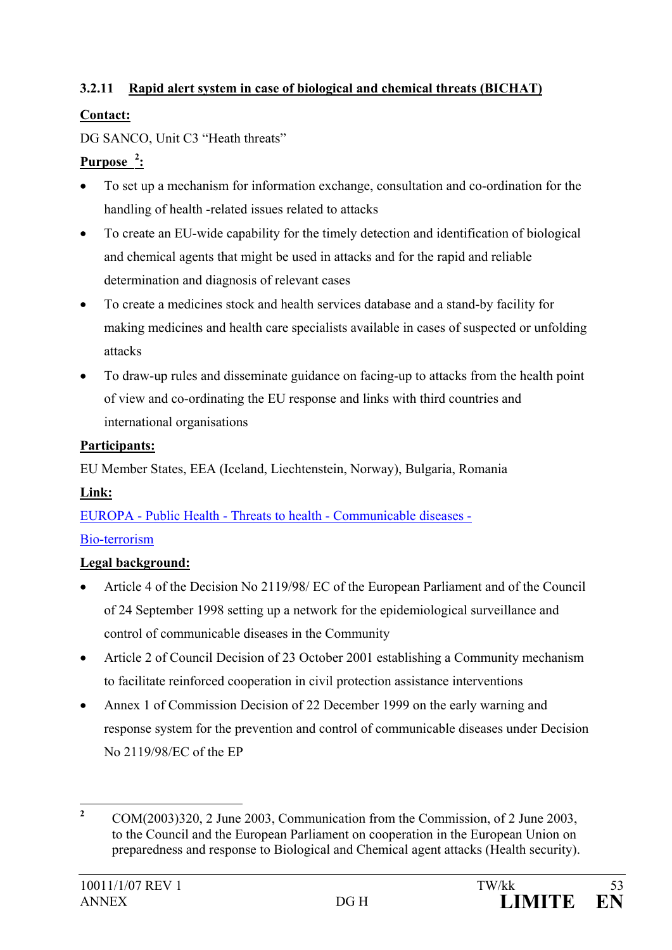## **3.2.11 Rapid alert system in case of biological and chemical threats (BICHAT)**

# **Contact:**

DG SANCO, Unit C3 "Heath threats"

# **Purpose [2](#page-55-0) :**

- To set up a mechanism for information exchange, consultation and co-ordination for the handling of health -related issues related to attacks
- To create an EU-wide capability for the timely detection and identification of biological and chemical agents that might be used in attacks and for the rapid and reliable determination and diagnosis of relevant cases
- To create a medicines stock and health services database and a stand-by facility for making medicines and health care specialists available in cases of suspected or unfolding attacks
- To draw-up rules and disseminate guidance on facing-up to attacks from the health point of view and co-ordinating the EU response and links with third countries and international organisations

# **Participants:**

EU Member States, EEA (Iceland, Liechtenstein, Norway), Bulgaria, Romania

# **Link:**

EUROPA - Public Health - Threats to health - [Communicable diseases -](http://europa.eu.int/comm/health/ph_threats/Bioterrorisme/bioterrorisme_en.htm) [Bio-terrorism](http://europa.eu.int/comm/health/ph_threats/Bioterrorisme/bioterrorisme_en.htm)

# **Legal background:**

- Article 4 of the Decision No 2119/98/ EC of the European Parliament and of the Council of 24 September 1998 setting up a network for the epidemiological surveillance and control of communicable diseases in the Community
- Article 2 of Council Decision of 23 October 2001 establishing a Community mechanism to facilitate reinforced cooperation in civil protection assistance interventions
- Annex 1 of Commission Decision of 22 December 1999 on the early warning and response system for the prevention and control of communicable diseases under Decision No 2119/98/EC of the EP

<span id="page-55-0"></span><sup>&</sup>lt;sup>2</sup> COM(2003)320, 2 June 2003, Communication from the Commission, of 2 June 2003, to the Council and the European Parliament on cooperation in the European Union on preparedness and response to Biological and Chemical agent attacks (Health security).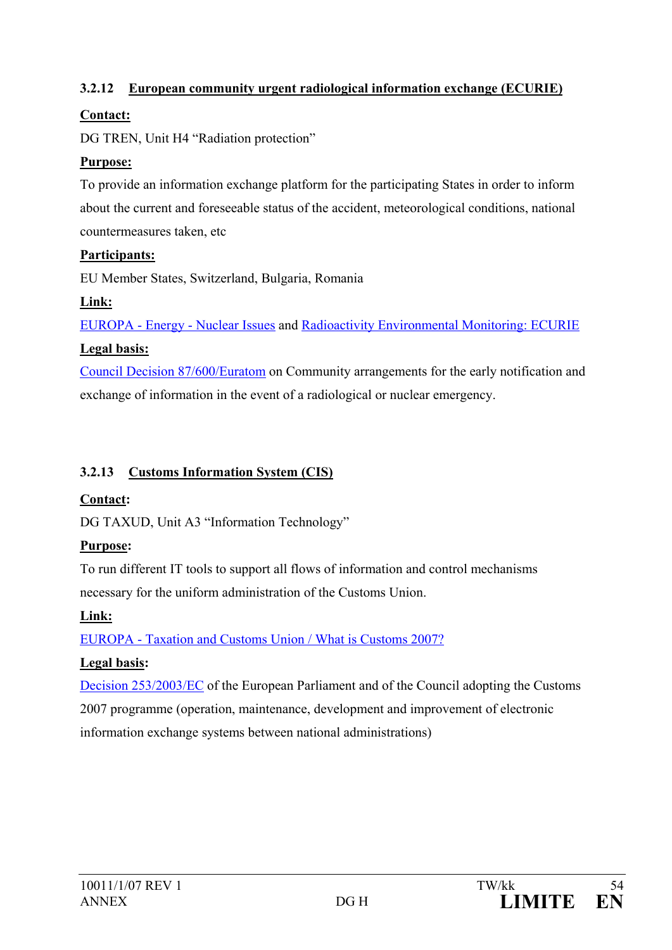### **3.2.12 European community urgent radiological information exchange (ECURIE)**

### **Contact:**

DG TREN, Unit H4 "Radiation protection"

### **Purpose:**

To provide an information exchange platform for the participating States in order to inform about the current and foreseeable status of the accident, meteorological conditions, national countermeasures taken, etc

### **Participants:**

EU Member States, Switzerland, Bulgaria, Romania

## **Link:**

EUROPA - Energy - [Nuclear Issues](http://europa.eu.int/comm/energy/nuclear/radioprotection/emergency_en.htm) and [Radioactivity Environmental Monitoring: ECURIE](http://rem.jrc.cec.eu.int/ecurie.html) **Legal basis:**

[Council Decision 87/600/Euratom](http://europa.eu.int/eur-lex/lex/LexUriServ/LexUriServ.do?uri=CELEX:31987D0600:EN:HTML) on Community arrangements for the early notification and exchange of information in the event of a radiological or nuclear emergency.

# **3.2.13 Customs Information System (CIS)**

## **Contact:**

DG TAXUD, Unit A3 "Information Technology"

# **Purpose:**

To run different IT tools to support all flows of information and control mechanisms necessary for the uniform administration of the Customs Union.

# **Link:**

EUROPA - [Taxation and Customs Union / What is Customs 2007?](http://europa.eu.int/comm/taxation_customs/customs/cooperation_programmes/customs_2007/index_en.htm)

# **Legal basis:**

[Decision 253/2003/EC](http://europa.eu.int/eur-lex/pri/en/oj/dat/2003/l_036/l_03620030212en00010006.pdf) of the European Parliament and of the Council adopting the Customs 2007 programme (operation, maintenance, development and improvement of electronic information exchange systems between national administrations)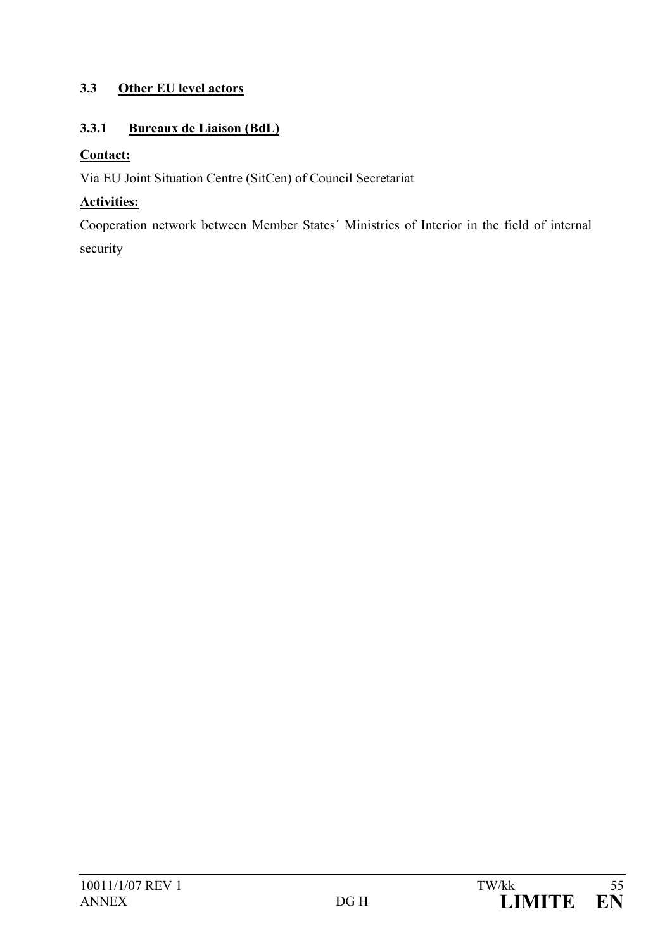### **3.3 Other EU level actors**

### **3.3.1 Bureaux de Liaison (BdL)**

### **Contact:**

Via EU Joint Situation Centre (SitCen) of Council Secretariat

## **Activities:**

Cooperation network between Member States´ Ministries of Interior in the field of internal security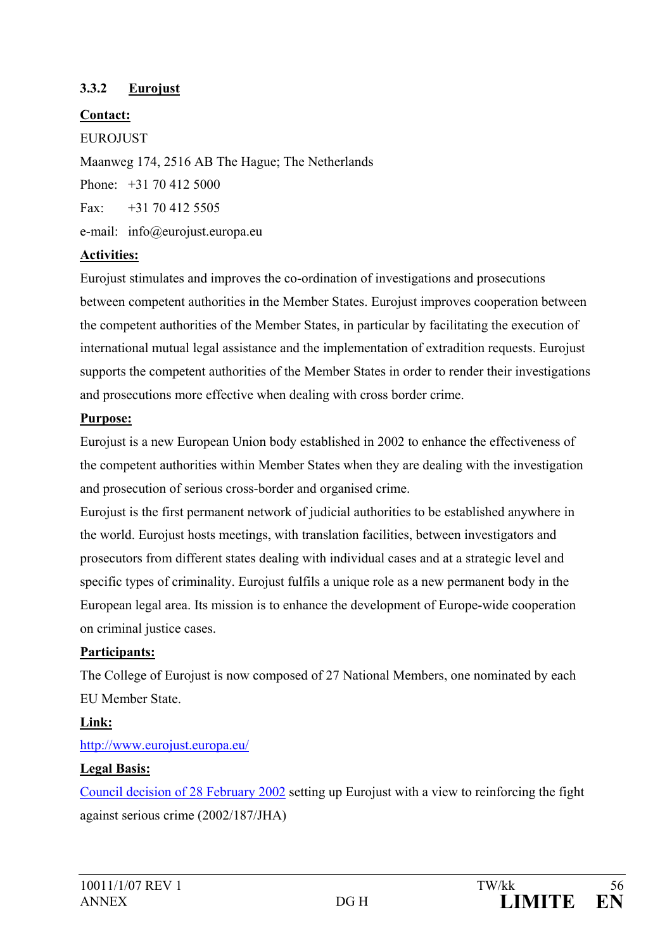### **3.3.2 Eurojust**

### **Contact:**

#### EUROJUST

Maanweg 174, 2516 AB The Hague; The Netherlands Phone: +31 70 412 5000

Fax:  $+31,70,412,5505$ 

e-mail: info@eurojust.europa.eu

### **Activities:**

Eurojust stimulates and improves the co-ordination of investigations and prosecutions between competent authorities in the Member States. Eurojust improves cooperation between the competent authorities of the Member States, in particular by facilitating the execution of international mutual legal assistance and the implementation of extradition requests. Eurojust supports the competent authorities of the Member States in order to render their investigations and prosecutions more effective when dealing with cross border crime.

### **Purpose:**

Eurojust is a new European Union body established in 2002 to enhance the effectiveness of the competent authorities within Member States when they are dealing with the investigation and prosecution of serious cross-border and organised crime.

Eurojust is the first permanent network of judicial authorities to be established anywhere in the world. Eurojust hosts meetings, with translation facilities, between investigators and prosecutors from different states dealing with individual cases and at a strategic level and specific types of criminality. Eurojust fulfils a unique role as a new permanent body in the European legal area. Its mission is to enhance the development of Europe-wide cooperation on criminal justice cases.

### **Participants:**

The College of Eurojust is now composed of 27 National Members, one nominated by each EU Member State.

## **Link:**

### [http://www.eurojust.europa.eu/](http://www.eurojust.eu.int/)

### **Legal Basis:**

[Council decision of 28 February 2002](http://www.eurojust.eu.int/official_documents/Eurojust_Decision/l_06320020306en00010013.pdf) setting up Eurojust with a view to reinforcing the fight against serious crime (2002/187/JHA)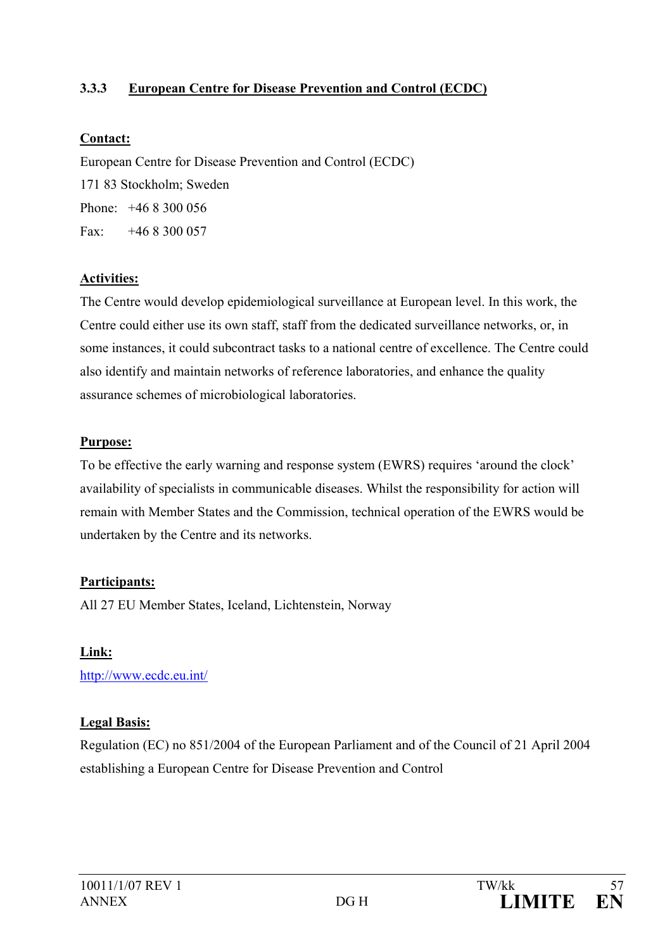### **3.3.3 European Centre for Disease Prevention and Control (ECDC)**

#### **Contact:**

European Centre for Disease Prevention and Control (ECDC) 171 83 Stockholm; Sweden Phone: +46 8 300 056 Fax:  $+468300057$ 

#### **Activities:**

The Centre would develop epidemiological surveillance at European level. In this work, the Centre could either use its own staff, staff from the dedicated surveillance networks, or, in some instances, it could subcontract tasks to a national centre of excellence. The Centre could also identify and maintain networks of reference laboratories, and enhance the quality assurance schemes of microbiological laboratories.

#### **Purpose:**

To be effective the early warning and response system (EWRS) requires 'around the clock' availability of specialists in communicable diseases. Whilst the responsibility for action will remain with Member States and the Commission, technical operation of the EWRS would be undertaken by the Centre and its networks.

#### **Participants:**

All 27 EU Member States, Iceland, Lichtenstein, Norway

#### **Link:**

<http://www.ecdc.eu.int/>

#### **Legal Basis:**

Regulation (EC) no 851/2004 of the European Parliament and of the Council of 21 April 2004 establishing a European Centre for Disease Prevention and Control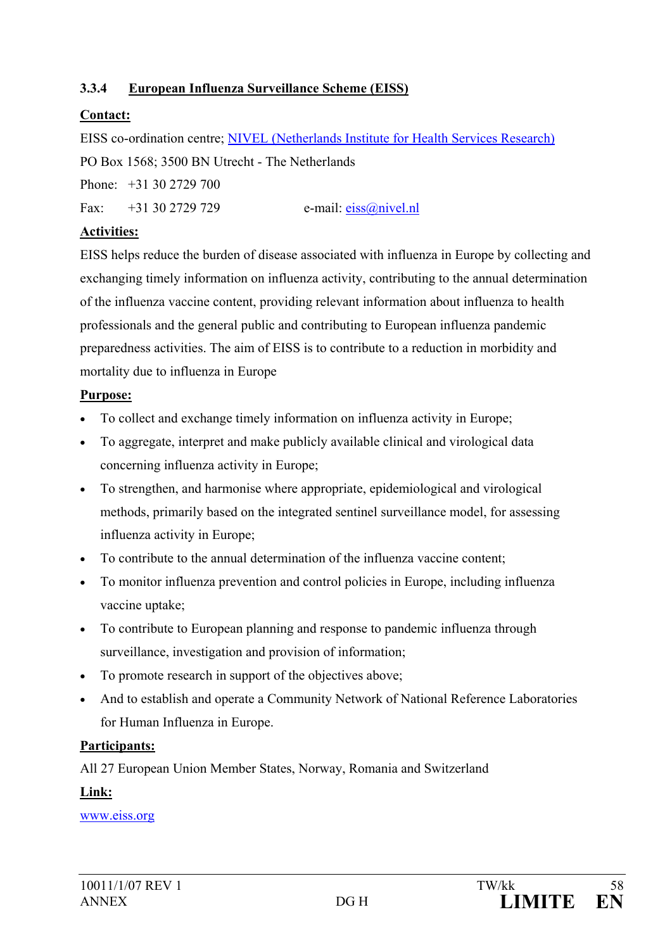### **3.3.4 European Influenza Surveillance Scheme (EISS)**

### **Contact:**

EISS co-ordination centre; [NIVEL \(Netherlands Institute for Health Services Research\)](http://www.nivel.nl/) PO Box 1568; 3500 BN Utrecht - The Netherlands

Phone: +31 30 2729 700

Fax: +31 30 2729 729 e-mail: [eiss@nivel.nl](mailto:eiss@nivel.nl)

### **Activities:**

EISS helps reduce the burden of disease associated with influenza in Europe by collecting and exchanging timely information on influenza activity, contributing to the annual determination of the influenza vaccine content, providing relevant information about influenza to health professionals and the general public and contributing to European influenza pandemic preparedness activities. The aim of EISS is to contribute to a reduction in morbidity and mortality due to influenza in Europe

### **Purpose:**

- To collect and exchange timely information on influenza activity in Europe;
- To aggregate, interpret and make publicly available clinical and virological data concerning influenza activity in Europe;
- To strengthen, and harmonise where appropriate, epidemiological and virological methods, primarily based on the integrated sentinel surveillance model, for assessing influenza activity in Europe;
- To contribute to the annual determination of the influenza vaccine content;
- To monitor influenza prevention and control policies in Europe, including influenza vaccine uptake;
- To contribute to European planning and response to pandemic influenza through surveillance, investigation and provision of information;
- To promote research in support of the objectives above;
- And to establish and operate a Community Network of National Reference Laboratories for Human Influenza in Europe.

## **Participants:**

All 27 European Union Member States, Norway, Romania and Switzerland

### **Link:**

[www.eiss.org](http://www.eiss.org/)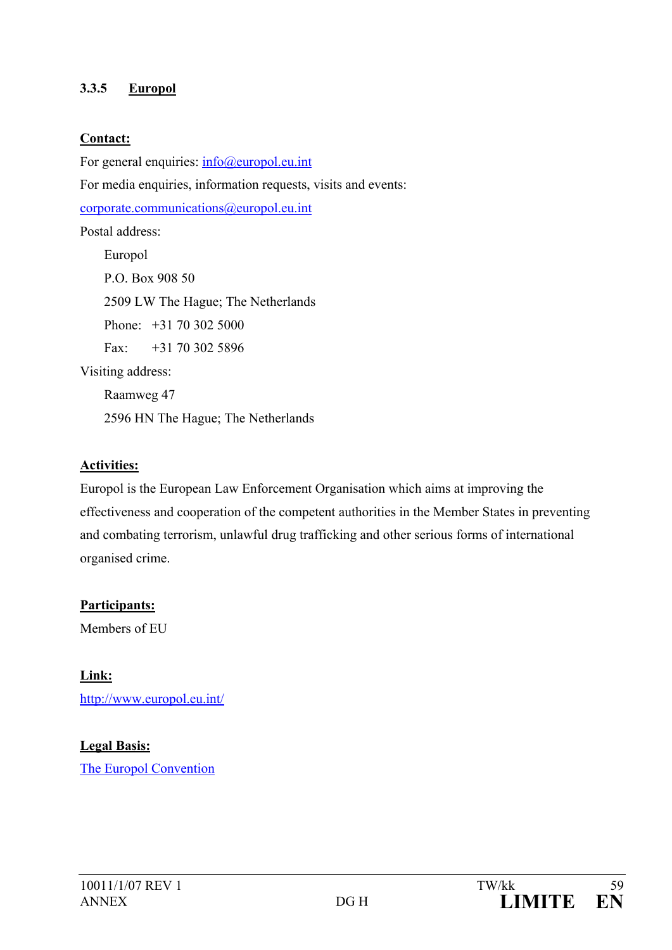#### **3.3.5 Europol**

#### **Contact:**

For general enquiries:  $info@$ europol.eu.int For media enquiries, information requests, visits and events: [corporate.communications@europol.eu.int](mailto:corporate.communications@europol.eu.int) Postal address: Europol P.O. Box 908 50 2509 LW The Hague; The Netherlands Phone: +31 70 302 5000 Fax: +31 70 302 5896 Visiting address: Raamweg 47

2596 HN The Hague; The Netherlands

#### **Activities:**

Europol is the European Law Enforcement Organisation which aims at improving the effectiveness and cooperation of the competent authorities in the Member States in preventing and combating terrorism, unlawful drug trafficking and other serious forms of international organised crime.

**Participants:** Members of EU

**Link:** <http://www.europol.eu.int/>

### **Legal Basis:**

[The Europol Convention](http://www.europol.eu.int/index.asp?page=legalconv)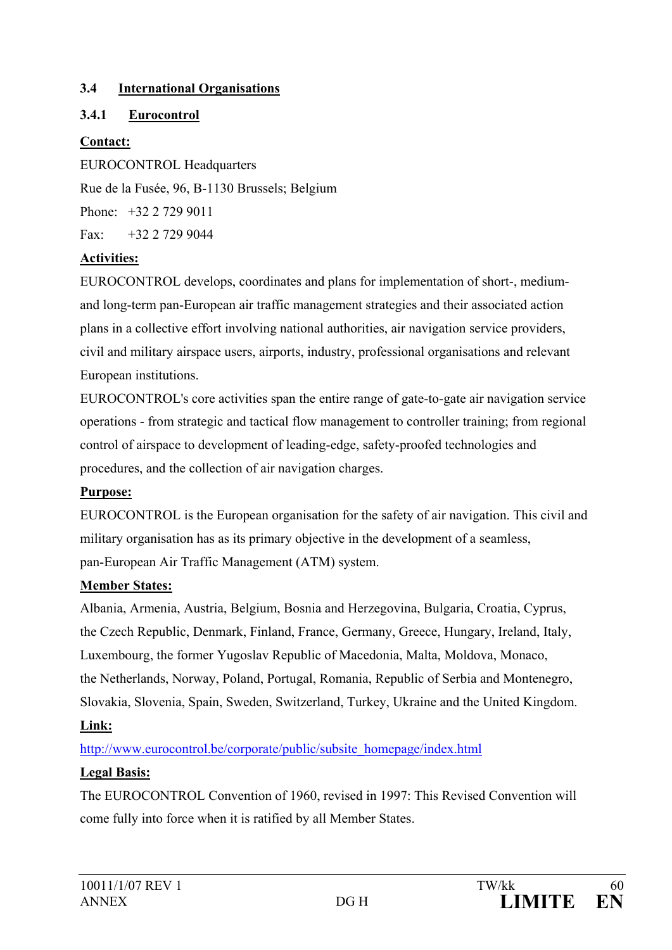### **3.4 International Organisations**

## **3.4.1 Eurocontrol**

### **Contact:**

EUROCONTROL Headquarters Rue de la Fusée, 96, B-1130 Brussels; Belgium Phone: +32 2 729 9011  $Fax +32 2 729 9044$ 

### **Activities:**

EUROCONTROL develops, coordinates and plans for implementation of short-, mediumand long-term pan-European air traffic management strategies and their associated action plans in a collective effort involving national authorities, air navigation service providers, civil and military airspace users, airports, industry, professional organisations and relevant European institutions.

EUROCONTROL's core activities span the entire range of gate-to-gate air navigation service operations - from strategic and tactical flow management to controller training; from regional control of airspace to development of leading-edge, safety-proofed technologies and procedures, and the collection of air navigation charges.

## **Purpose:**

EUROCONTROL is the European organisation for the safety of air navigation. This civil and military organisation has as its primary objective in the development of a seamless, pan-European Air Traffic Management (ATM) system.

## **Member States:**

Albania, Armenia, Austria, Belgium, Bosnia and Herzegovina, Bulgaria, Croatia, Cyprus, the Czech Republic, Denmark, Finland, France, Germany, Greece, Hungary, Ireland, Italy, Luxembourg, the former Yugoslav Republic of Macedonia, Malta, Moldova, Monaco, the Netherlands, Norway, Poland, Portugal, Romania, Republic of Serbia and Montenegro, Slovakia, Slovenia, Spain, Sweden, Switzerland, Turkey, Ukraine and the United Kingdom.

## **Link:**

[http://www.eurocontrol.be/corporate/public/subsite\\_homepage/index.html](http://www.eurocontrol.be/corporate/public/subsite_homepage/index.html)

## **Legal Basis:**

The EUROCONTROL Convention of 1960, revised in 1997: This Revised Convention will come fully into force when it is ratified by all Member States.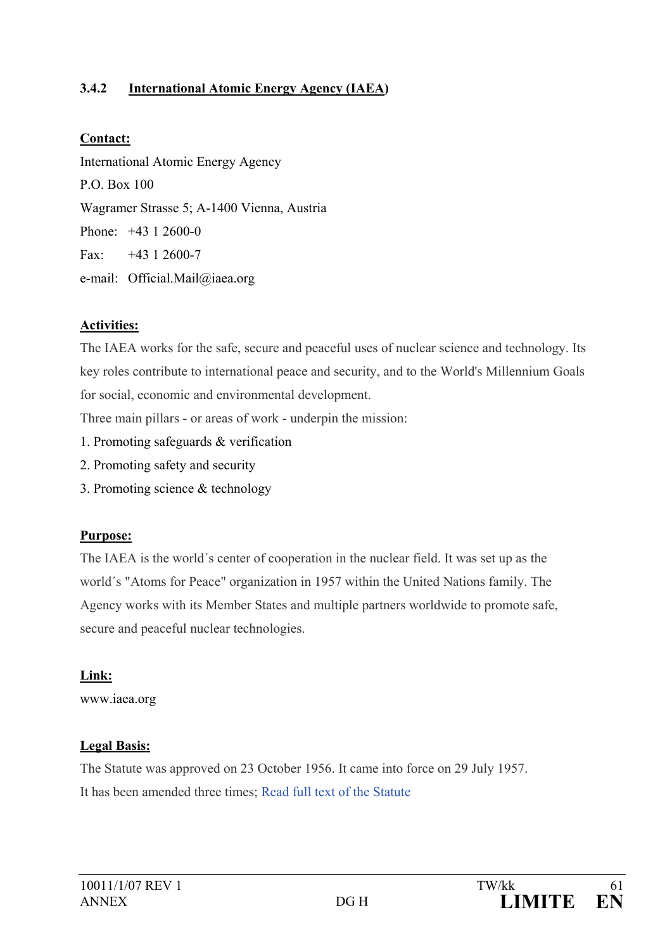### **3.4.2 International Atomic Energy Agency (IAEA)**

#### **Contact:**

International Atomic Energy Agency P.O. Box 100 Wagramer Strasse 5; A-1400 Vienna, Austria Phone: +43 1 2600-0 Fax:  $+43$  1 2600-7 e-mail: [Official.Mail@iaea.org](mailto:Official.Mail@iaea.org)

### **Activities:**

The IAEA works for the safe, secure and peaceful uses of nuclear science and technology. Its key roles contribute to international peace and security, and to the World's Millennium Goals for social, economic and environmental development.

Three main pillars - or areas of work - underpin the mission:

- 1. Promoting safeguards & verification
- 2. Promoting safety and security
- 3. Promoting science & technology

### **Purpose:**

The IAEA is the world´s center of cooperation in the nuclear field. It was set up as the world´s "Atoms for Peace" organization in 1957 within the United Nations family. The Agency works with its Member States and multiple partners worldwide to promote safe, secure and peaceful nuclear technologies.

## **Link:**

[www.iaea.org](http://www.iaea.org/index.html)

## **Legal Basis:**

The Statute was approved on 23 October 1956. It came into force on 29 July 1957. It has been amended three times; [Read full text of the Statute](http://www.iaea.org/About/statute_text.html)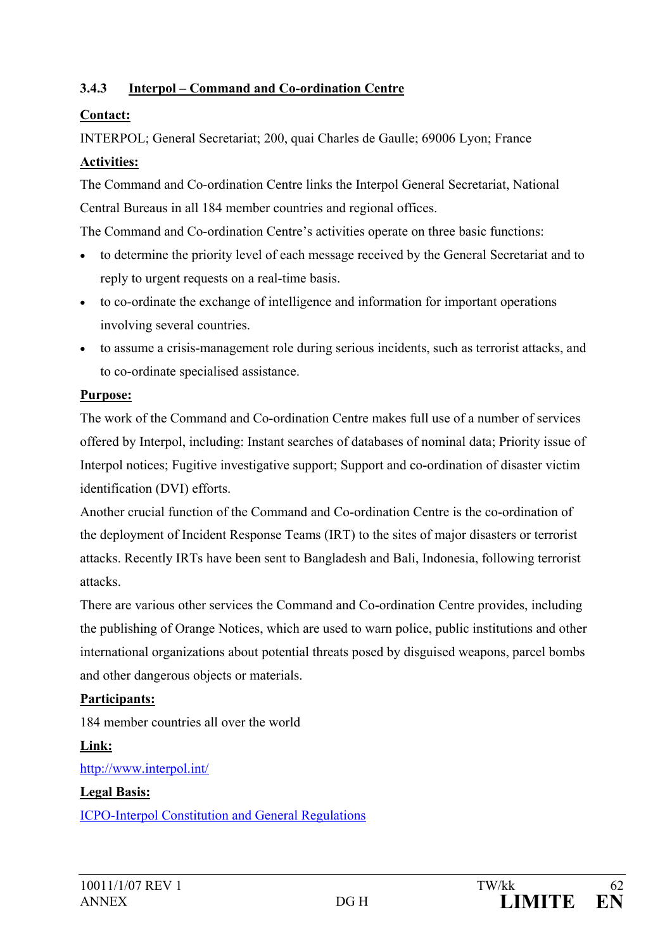## **3.4.3 Interpol – Command and Co-ordination Centre**

### **Contact:**

INTERPOL; General Secretariat; 200, quai Charles de Gaulle; 69006 Lyon; France

### **Activities:**

The Command and Co-ordination Centre links the Interpol General Secretariat, National Central Bureaus in all 184 member countries and regional offices.

The Command and Co-ordination Centre's activities operate on three basic functions:

- to determine the priority level of each message received by the General Secretariat and to reply to urgent requests on a real-time basis.
- to co-ordinate the exchange of intelligence and information for important operations involving several countries.
- to assume a crisis-management role during serious incidents, such as terrorist attacks, and to co-ordinate specialised assistance.

### **Purpose:**

The work of the Command and Co-ordination Centre makes full use of a number of services offered by Interpol, including: Instant searches of databases of nominal data; Priority issue of [Interpol notices;](http://www.interpol.int/Public/ICPO/FactSheets/GI02.pdf) [Fugitive investigative](http://www.interpol.int/Public/Wanted/Fugitives/Default.asp) support; Support and co-ordination of [disaster victim](http://www.interpol.int/Public/DisasterVictim/Default.asp)  [identification](http://www.interpol.int/Public/DisasterVictim/Default.asp) (DVI) efforts.

Another crucial function of the Command and Co-ordination Centre is the co-ordination of the deployment of Incident Response Teams (IRT) to the sites of major disasters or terrorist attacks. Recently IRTs have been sent to Bangladesh and Bali, Indonesia, following terrorist attacks.

There are various other services the Command and Co-ordination Centre provides, including the publishing of Orange Notices, which are used to warn police, public institutions and other international organizations about potential threats posed by disguised weapons, parcel bombs and other dangerous objects or materials.

## **Participants:**

184 member countries all over the world

# **Link:**

<http://www.interpol.int/>

## **Legal Basis:**

[ICPO-Interpol Constitution and General Regulations](mailto:http://www.interpol.int/Public/ICPO/LegalMaterials/constitution/constitutionGenReg/constitution.asp)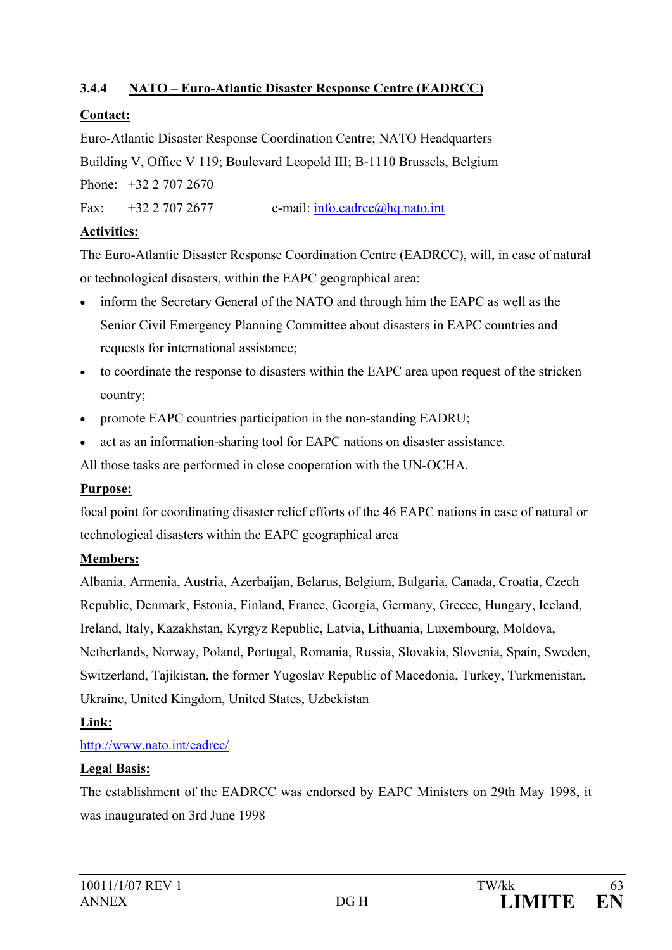## **3.4.4 NATO – Euro-Atlantic Disaster Response Centre (EADRCC)**

### **Contact:**

Euro-Atlantic Disaster Response Coordination Centre; NATO Headquarters Building V, Office V 119; Boulevard Leopold III; B-1110 Brussels, Belgium

Phone: +32 2 707 2670

Fax:  $+32\ 2\ 707\ 2677$  e-mail: [info.eadrcc@hq.nato.int](mailto:info.eadrcc@hq.nato.int)

### **Activities:**

The Euro-Atlantic Disaster Response Coordination Centre (EADRCC), will, in case of natural or technological disasters, within the EAPC geographical area:

- inform the Secretary General of the NATO and through him the EAPC as well as the Senior Civil Emergency Planning Committee about disasters in EAPC countries and requests for international assistance;
- to coordinate the response to disasters within the EAPC area upon request of the stricken country;
- promote EAPC countries participation in the non-standing EADRU;
- act as an information-sharing tool for EAPC nations on disaster assistance.

All those tasks are performed in close cooperation with the UN-OCHA.

### **Purpose:**

focal point for coordinating disaster relief efforts of the 46 EAPC nations in case of natural or technological disasters within the EAPC geographical area

### **Members:**

Albania, Armenia, Austria, Azerbaijan, Belarus, Belgium, Bulgaria, Canada, Croatia, Czech Republic, Denmark, Estonia, Finland, France, Georgia, Germany, Greece, Hungary, Iceland, Ireland, Italy, Kazakhstan, Kyrgyz Republic, Latvia, Lithuania, Luxembourg, Moldova, Netherlands, Norway, Poland, Portugal, Romania, Russia, Slovakia, Slovenia, Spain, Sweden, Switzerland, Tajikistan, the former Yugoslav Republic of Macedonia, Turkey, Turkmenistan, Ukraine, United Kingdom, United States, Uzbekistan

### **Link:**

### <http://www.nato.int/eadrcc/>

### **Legal Basis:**

The establishment of the EADRCC was endorsed by EAPC Ministers on 29th May 1998, it was inaugurated on 3rd June 1998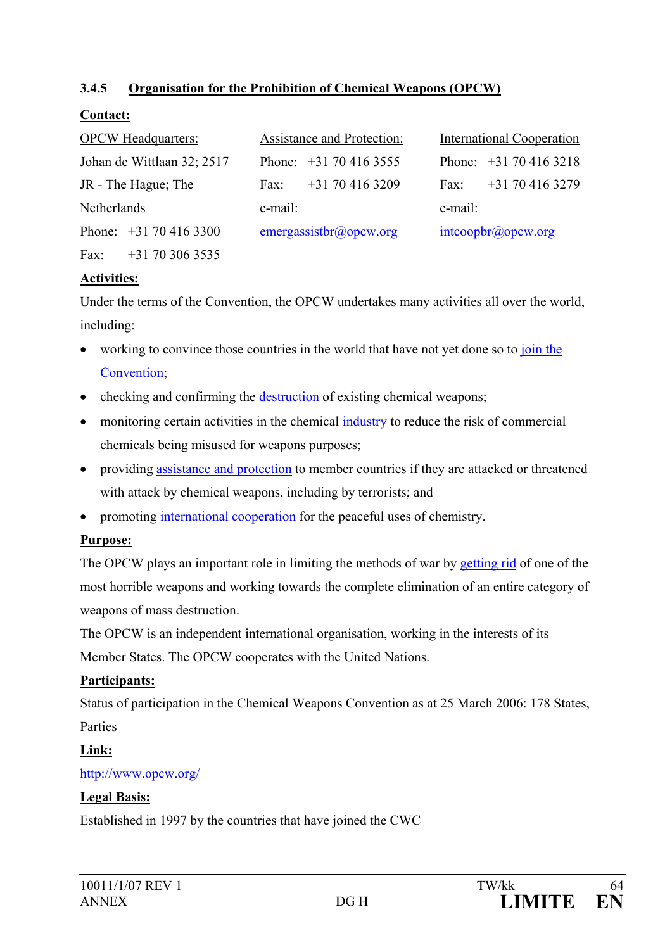### **3.4.5 Organisation for the Prohibition of Chemical Weapons (OPCW)**

### **Contact:**

|                     | <b>OPCW Headquarters:</b>  |  |
|---------------------|----------------------------|--|
|                     | Johan de Wittlaan 32; 2517 |  |
| JR - The Hague; The |                            |  |
| Netherlands         |                            |  |
|                     | Phone: +31 70 416 3300     |  |
|                     | Fax: $+31$ 70 306 3535     |  |

Assistance and Protection: Phone: +31 70 416 3555 Fax:  $+31,70,416,3209$ e-mail: [emergassistbr@opcw.org](mailto:emergassistbr@opcw.org)

International Cooperation Phone: +31 70 416 3218 Fax:  $+31,70,416,3279$ e-mail: [intcoopbr@opcw.org](mailto:intcoopbr@opcw.org)

### **Activities:**

Under the terms of the Convention, the OPCW undertakes many activities all over the world, including:

- working to convince those countries in the world that have not yet done so to join the [Convention;](http://www.opcw.org/html/db/univers_r_frame.html)
- checking and confirming the [destruction](http://www.opcw.org/en/chemdemil_menu.html) of existing chemical weapons;
- monitoring certain activities in the chemical [industry](http://www.opcw.org/en/chemind_menu.html) to reduce the risk of commercial chemicals being misused for weapons purposes;
- providing [assistance and protection](http://www.opcw.org/en/ap_menu.html) to member countries if they are attacked or threatened with attack by chemical weapons, including by terrorists; and
- promoting [international cooperation](http://www.opcw.org/en/ic_menu.html) for the peaceful uses of chemistry.

### **Purpose:**

The OPCW plays an important role in limiting the methods of war by [getting rid](http://www.opcw.org/ib/html/results.html) of one of the most horrible weapons and working towards the complete elimination of an entire category of weapons of mass destruction.

The OPCW is an independent international organisation, working in the interests of its Member States. The OPCW cooperates with the United Nations.

### **Participants:**

Status of participation in the Chemical Weapons Convention as at 25 March 2006: 178 States, Parties

### **Link:**

<http://www.opcw.org/>

### **Legal Basis:**

Established in 1997 by the countries that have joined the CWC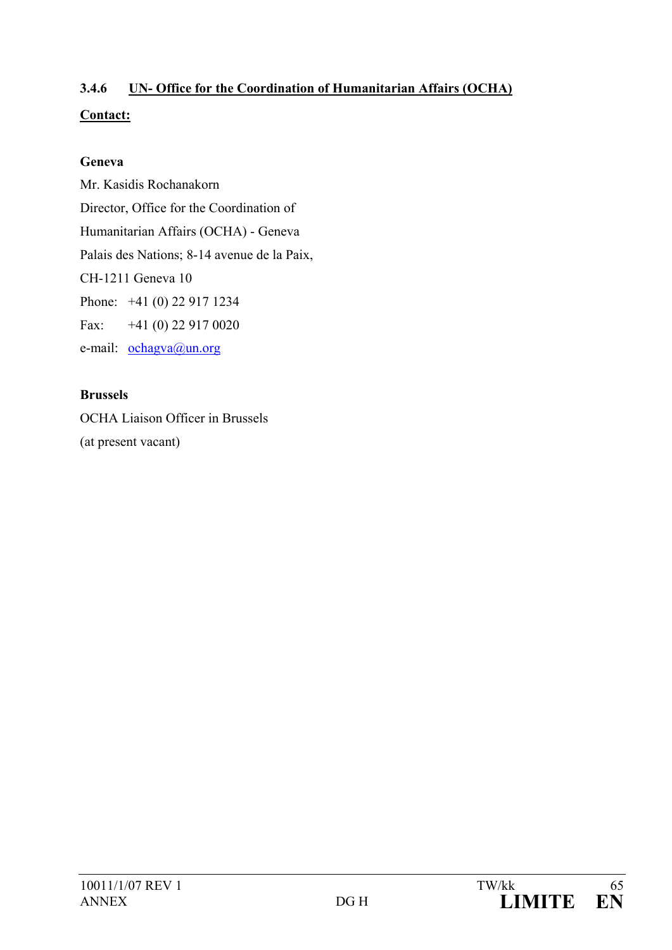# **3.4.6 UN- Office for the Coordination of Humanitarian Affairs (OCHA) Contact:**

### **Geneva**

Mr. Kasidis Rochanakorn Director, Office for the Coordination of Humanitarian Affairs (OCHA) - Geneva Palais des Nations; 8-14 avenue de la Paix, CH-1211 Geneva 10 Phone: +41 (0) 22 917 1234 Fax: +41 (0) 22 917 0020 e-mail: [ochagva@un.org](mailto:ochagva@un.org)

### **Brussels**

OCHA Liaison Officer in Brussels (at present vacant)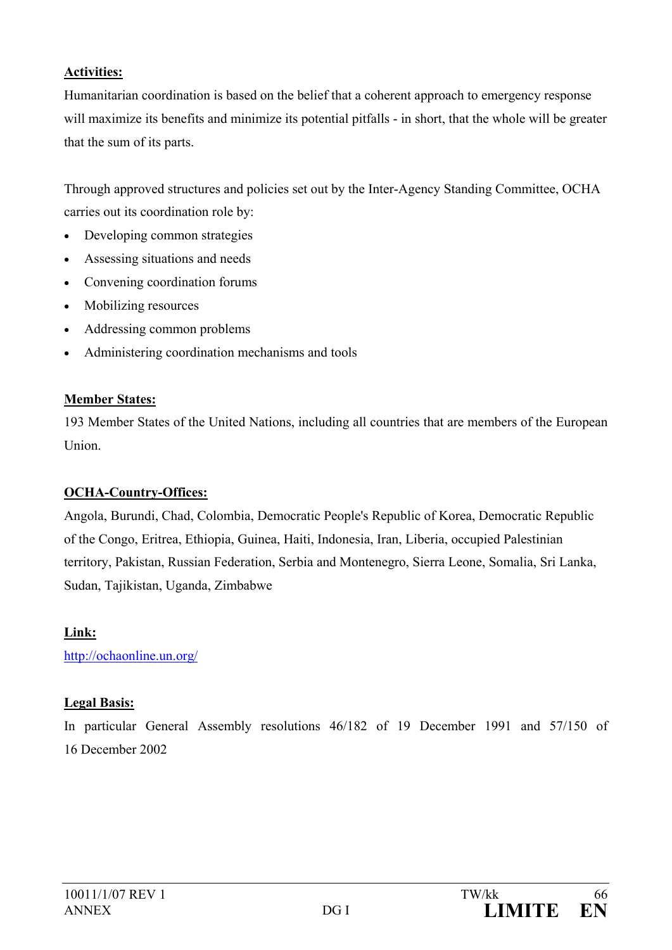#### **Activities:**

Humanitarian coordination is based on the belief that a coherent approach to emergency response will maximize its benefits and minimize its potential pitfalls - in short, that the whole will be greater that the sum of its parts.

Through approved structures and policies set out by the Inter-Agency Standing Committee, OCHA carries out its coordination role by:

- Developing common strategies
- Assessing situations and needs
- Convening coordination forums
- Mobilizing resources
- Addressing common problems
- Administering coordination mechanisms and tools

### **Member States:**

193 Member States of the United Nations, including all countries that are members of the European Union.

### **OCHA-Country-Offices:**

Angola, Burundi, Chad, Colombia, Democratic People's Republic of Korea, Democratic Republic of the Congo, Eritrea, Ethiopia, Guinea, Haiti, Indonesia, Iran, Liberia, occupied Palestinian territory, Pakistan, Russian Federation, Serbia and Montenegro, Sierra Leone, Somalia, Sri Lanka, Sudan, Tajikistan, Uganda, Zimbabwe

### **Link:**

<http://ochaonline.un.org/>

### **Legal Basis:**

In particular General Assembly resolutions 46/182 of 19 December 1991 and 57/150 of 16 December 2002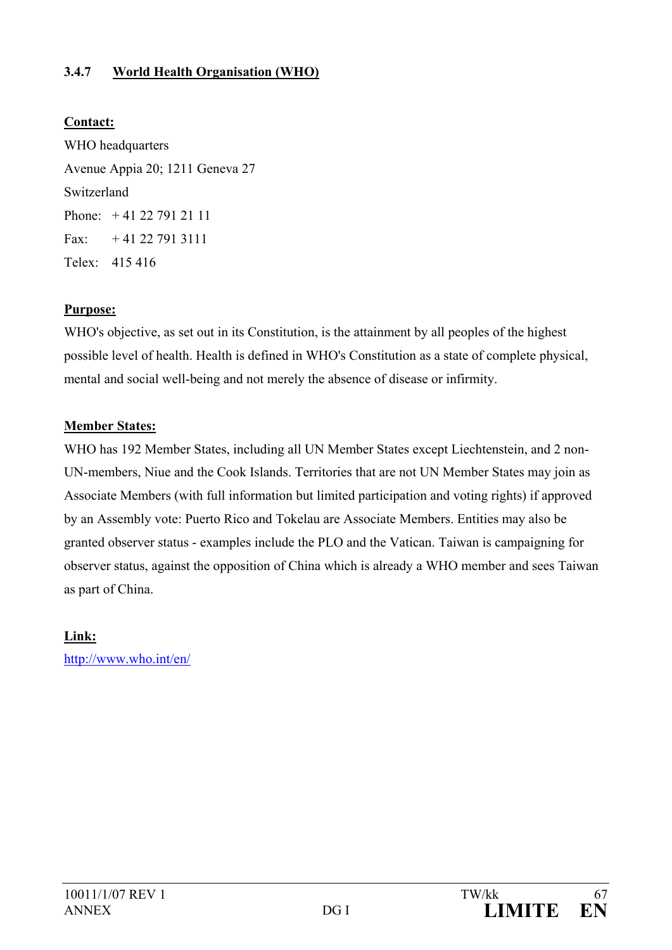### **3.4.7 World Health Organisation (WHO)**

### **Contact:**

WHO headquarters Avenue Appia 20; 1211 Geneva 27 Switzerland Phone: + 41 22 791 21 11 Fax:  $+41227913111$ Telex: 415 416

### **Purpose:**

WHO's objective, as set out in its Constitution, is the attainment by all peoples of the highest possible level of health. Health is defined in WHO's Constitution as a state of complete physical, mental and social well-being and not merely the absence of disease or infirmity.

#### **Member States:**

WHO has 192 Member States, including all UN Member States except Liechtenstein, and 2 non-UN-members, Niue and the Cook Islands. Territories that are not UN Member States may join as Associate Members (with full information but limited participation and voting rights) if approved by an Assembly vote: Puerto Rico and Tokelau are Associate Members. Entities may also be granted observer status - examples include the PLO and the Vatican. Taiwan is campaigning for observer status, against the opposition of China which is already a WHO member and sees Taiwan as part of China.

### **Link:**

<http://www.who.int/en/>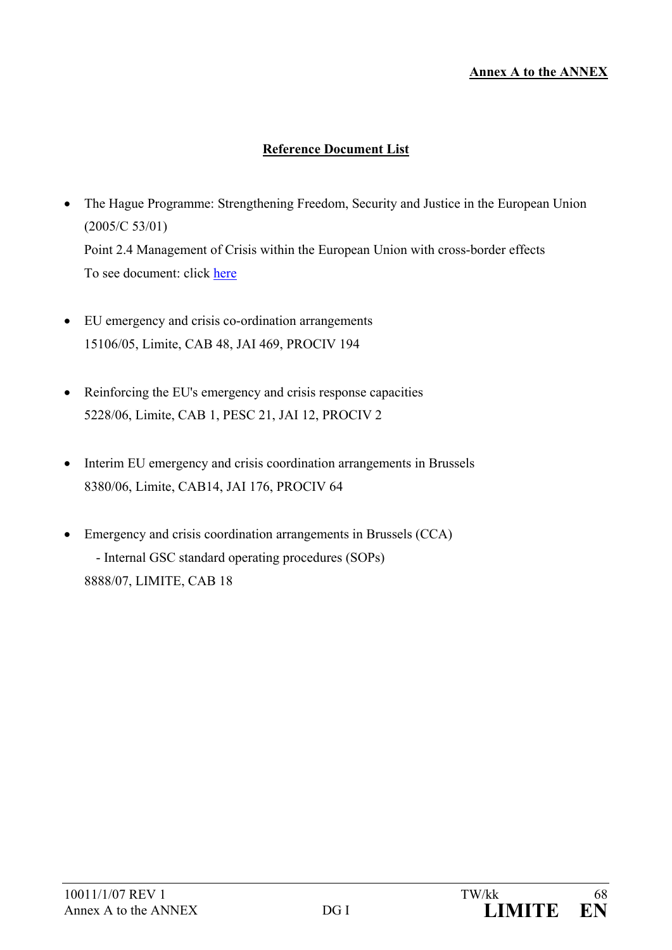#### **Annex A to the ANNEX**

### **Reference Document List**

- The Hague Programme: Strengthening Freedom, Security and Justice in the European Union (2005/C 53/01) Point 2.4 Management of Crisis within the European Union with cross-border effects To see document: click [here](http://europa.eu.int/eur-lex/lex/LexUriServ/site/en/oj/2005/c_053/c_05320050303en00010014.pdf)
- EU emergency and crisis co-ordination arrangements 15106/05, Limite, CAB 48, JAI 469, PROCIV 194
- Reinforcing the EU's emergency and crisis response capacities 5228/06, Limite, CAB 1, PESC 21, JAI 12, PROCIV 2
- Interim EU emergency and crisis coordination arrangements in Brussels 8380/06, Limite, CAB14, JAI 176, PROCIV 64
- Emergency and crisis coordination arrangements in Brussels (CCA) - Internal GSC standard operating procedures (SOPs) 8888/07, LIMITE, CAB 18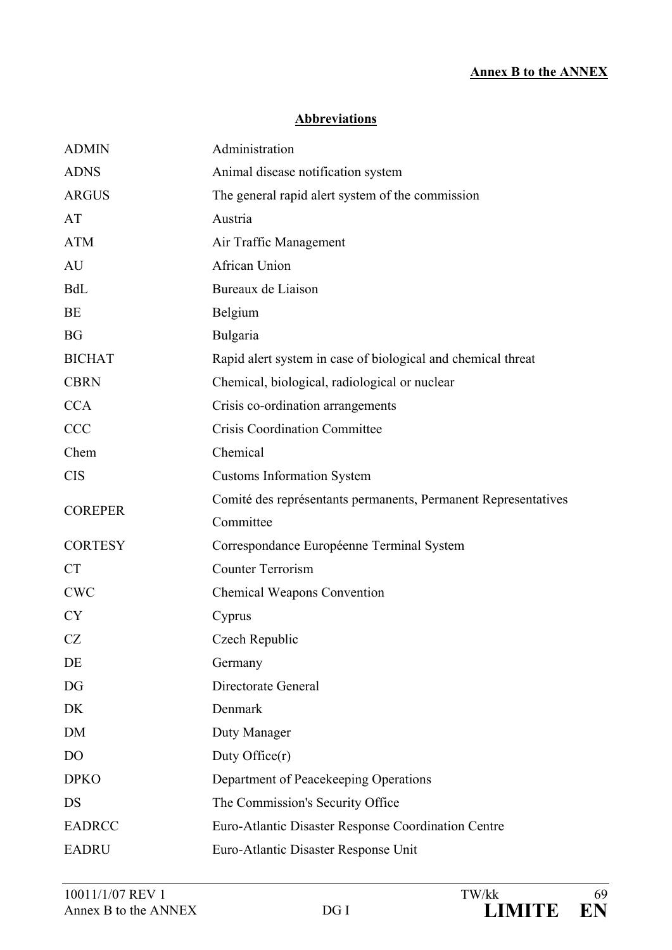#### **Annex B to the ANNEX**

#### **Abbreviations**

| <b>ADMIN</b>   | Administration                                                 |
|----------------|----------------------------------------------------------------|
| <b>ADNS</b>    | Animal disease notification system                             |
| <b>ARGUS</b>   | The general rapid alert system of the commission               |
| AT             | Austria                                                        |
| <b>ATM</b>     | Air Traffic Management                                         |
| AU             | African Union                                                  |
| <b>BdL</b>     | Bureaux de Liaison                                             |
| <b>BE</b>      | Belgium                                                        |
| <b>BG</b>      | Bulgaria                                                       |
| <b>BICHAT</b>  | Rapid alert system in case of biological and chemical threat   |
| <b>CBRN</b>    | Chemical, biological, radiological or nuclear                  |
| <b>CCA</b>     | Crisis co-ordination arrangements                              |
| <b>CCC</b>     | <b>Crisis Coordination Committee</b>                           |
| Chem           | Chemical                                                       |
| <b>CIS</b>     | <b>Customs Information System</b>                              |
| <b>COREPER</b> | Comité des représentants permanents, Permanent Representatives |
|                | Committee                                                      |
| <b>CORTESY</b> | Correspondance Européenne Terminal System                      |
| <b>CT</b>      | <b>Counter Terrorism</b>                                       |
| <b>CWC</b>     | <b>Chemical Weapons Convention</b>                             |
| <b>CY</b>      | Cyprus                                                         |
| CZ             | Czech Republic                                                 |
| DE             | Germany                                                        |
| DG             | Directorate General                                            |
| DK             | Denmark                                                        |
| DM             | Duty Manager                                                   |
| D <sub>O</sub> | Duty Office $(r)$                                              |
| <b>DPKO</b>    | Department of Peacekeeping Operations                          |
| DS             | The Commission's Security Office                               |
| <b>EADRCC</b>  | Euro-Atlantic Disaster Response Coordination Centre            |
| <b>EADRU</b>   | Euro-Atlantic Disaster Response Unit                           |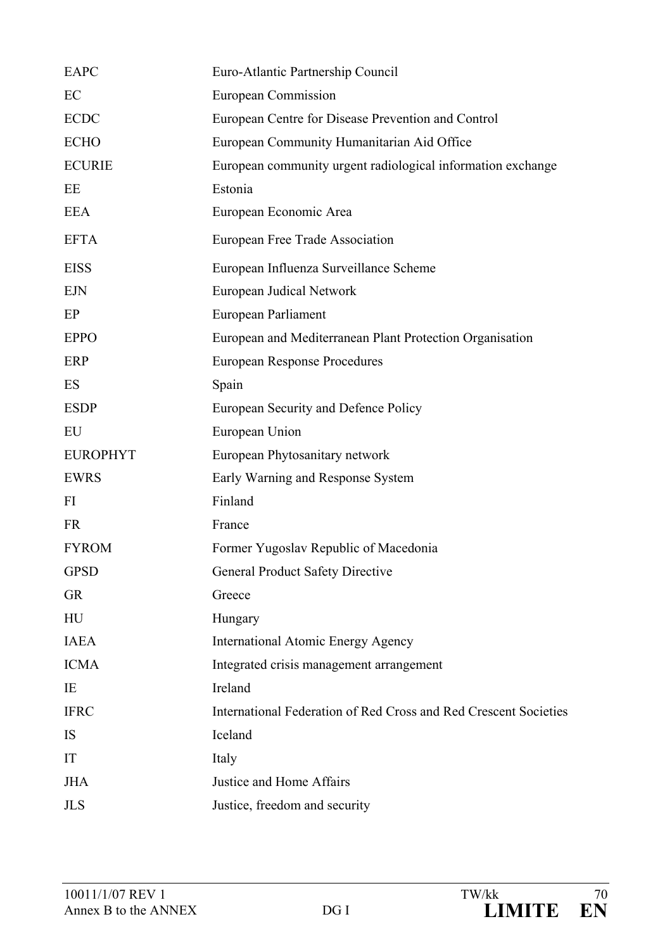| <b>EAPC</b>     | Euro-Atlantic Partnership Council                                |
|-----------------|------------------------------------------------------------------|
| EC              | <b>European Commission</b>                                       |
| <b>ECDC</b>     | European Centre for Disease Prevention and Control               |
| <b>ECHO</b>     | European Community Humanitarian Aid Office                       |
| <b>ECURIE</b>   | European community urgent radiological information exchange      |
| EE              | Estonia                                                          |
| <b>EEA</b>      | European Economic Area                                           |
| <b>EFTA</b>     | European Free Trade Association                                  |
| <b>EISS</b>     | European Influenza Surveillance Scheme                           |
| <b>EJN</b>      | European Judical Network                                         |
| EP              | European Parliament                                              |
| <b>EPPO</b>     | European and Mediterranean Plant Protection Organisation         |
| ERP             | <b>European Response Procedures</b>                              |
| ES              | Spain                                                            |
| <b>ESDP</b>     | European Security and Defence Policy                             |
| EU              | European Union                                                   |
| <b>EUROPHYT</b> | European Phytosanitary network                                   |
| <b>EWRS</b>     | Early Warning and Response System                                |
| FI              | Finland                                                          |
| <b>FR</b>       | France                                                           |
| <b>FYROM</b>    | Former Yugoslav Republic of Macedonia                            |
| <b>GPSD</b>     | <b>General Product Safety Directive</b>                          |
| <b>GR</b>       | Greece                                                           |
| HU              | Hungary                                                          |
| <b>IAEA</b>     | <b>International Atomic Energy Agency</b>                        |
| <b>ICMA</b>     | Integrated crisis management arrangement                         |
| IE              | Ireland                                                          |
| <b>IFRC</b>     | International Federation of Red Cross and Red Crescent Societies |
| IS              | Iceland                                                          |
| IT              | Italy                                                            |
| <b>JHA</b>      | Justice and Home Affairs                                         |
| <b>JLS</b>      | Justice, freedom and security                                    |
|                 |                                                                  |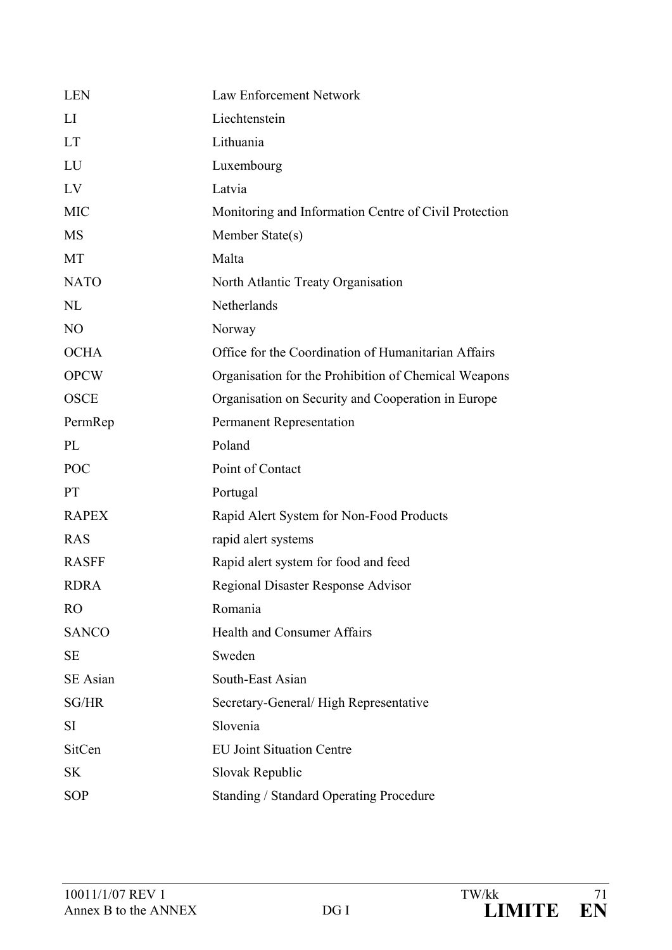| <b>LEN</b>      | Law Enforcement Network                               |
|-----------------|-------------------------------------------------------|
| LI              | Liechtenstein                                         |
| <b>LT</b>       | Lithuania                                             |
| LU              | Luxembourg                                            |
| LV              | Latvia                                                |
| <b>MIC</b>      | Monitoring and Information Centre of Civil Protection |
| <b>MS</b>       | Member State(s)                                       |
| MT              | Malta                                                 |
| <b>NATO</b>     | North Atlantic Treaty Organisation                    |
| <b>NL</b>       | Netherlands                                           |
| N <sub>O</sub>  | Norway                                                |
| <b>OCHA</b>     | Office for the Coordination of Humanitarian Affairs   |
| <b>OPCW</b>     | Organisation for the Prohibition of Chemical Weapons  |
| <b>OSCE</b>     | Organisation on Security and Cooperation in Europe    |
| PermRep         | <b>Permanent Representation</b>                       |
| PL              | Poland                                                |
| <b>POC</b>      | Point of Contact                                      |
| <b>PT</b>       | Portugal                                              |
| <b>RAPEX</b>    | Rapid Alert System for Non-Food Products              |
| <b>RAS</b>      | rapid alert systems                                   |
| <b>RASFF</b>    | Rapid alert system for food and feed                  |
| <b>RDRA</b>     | <b>Regional Disaster Response Advisor</b>             |
| <b>RO</b>       | Romania                                               |
| <b>SANCO</b>    | <b>Health and Consumer Affairs</b>                    |
| <b>SE</b>       | Sweden                                                |
| <b>SE</b> Asian | South-East Asian                                      |
| SG/HR           | Secretary-General/High Representative                 |
| <b>SI</b>       | Slovenia                                              |
| SitCen          | <b>EU Joint Situation Centre</b>                      |
| <b>SK</b>       | Slovak Republic                                       |
| <b>SOP</b>      | <b>Standing / Standard Operating Procedure</b>        |
|                 |                                                       |